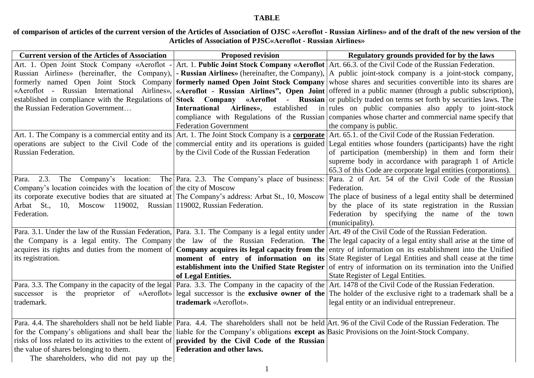## **TABLE**

**of comparison of articles of the current version of the Articles of Association of OJSC «Aeroflot - Russian Airlines» and of the draft of the new version of the Articles of Association of PJSC«Aeroflot - Russian Airlines»**

| <b>Current version of the Articles of Association</b>                                                                                        | <b>Proposed revision</b>                      | Regulatory grounds provided for by the laws                                                                                                                      |
|----------------------------------------------------------------------------------------------------------------------------------------------|-----------------------------------------------|------------------------------------------------------------------------------------------------------------------------------------------------------------------|
|                                                                                                                                              |                                               | Art. 1. Open Joint Stock Company «Aeroflot - Art. 1. Public Joint Stock Company «Aeroflot Art. 66.3. of the Civil Code of the Russian Federation.                |
|                                                                                                                                              |                                               | Russian Airlines» (hereinafter, the Company), <b>- Russian Airlines</b> » (hereinafter, the Company), $ A $ public joint-stock company is a joint-stock company, |
|                                                                                                                                              |                                               | formerly named Open Joint Stock Company <b>formerly named Open Joint Stock Company</b> whose shares and securities convertible into its shares are               |
| «Aeroflot - Russian International Airlines»,                                                                                                 |                                               | «Aeroflot - Russian Airlines", Open Joint offered in a public manner (through a public subscription),                                                            |
| established in compliance with the Regulations of                                                                                            |                                               | Stock Company «Aeroflot - Russian or publicly traded on terms set forth by securities laws. The                                                                  |
| the Russian Federation Government                                                                                                            | International Airlines»,<br>established       | in rules on public companies also apply to joint-stock                                                                                                           |
|                                                                                                                                              |                                               | compliance with Regulations of the Russian companies whose charter and commercial name specify that                                                              |
|                                                                                                                                              | <b>Federation Government</b>                  | the company is public.                                                                                                                                           |
| Art. 1. The Company is a commercial entity and its Art. 1. The Joint Stock Company is a corporate                                            |                                               | Art. 65.1. of the Civil Code of the Russian Federation.                                                                                                          |
|                                                                                                                                              |                                               | operations are subject to the Civil Code of the commercial entity and its operations is guided Legal entities whose founders (participants) have the right       |
| Russian Federation.                                                                                                                          | by the Civil Code of the Russian Federation   | of participation (membership) in them and form their                                                                                                             |
|                                                                                                                                              |                                               | supreme body in accordance with paragraph 1 of Article                                                                                                           |
|                                                                                                                                              |                                               | 65.3 of this Code are corporate legal entities (corporations).                                                                                                   |
| 2.3.<br>Para.                                                                                                                                |                                               | The Company's location: The Para. 2.3. The Company's place of business: Para. 2 of Art. 54 of the Civil Code of the Russian                                      |
| Company's location coincides with the location of the city of Moscow                                                                         |                                               | Federation.                                                                                                                                                      |
| its corporate executive bodies that are situated at The Company's address: Arbat St., 10, Moscow                                             |                                               | The place of business of a legal entity shall be determined                                                                                                      |
| Arbat St., 10, Moscow 119002, Russian 119002, Russian Federation.                                                                            |                                               | by the place of its state registration in the Russian                                                                                                            |
| Federation.                                                                                                                                  |                                               | Federation by specifying the name of the town                                                                                                                    |
|                                                                                                                                              |                                               | (municipality).                                                                                                                                                  |
|                                                                                                                                              |                                               | Para. 3.1. Under the law of the Russian Federation,   Para. 3.1. The Company is a legal entity under   Art. 49 of the Civil Code of the Russian Federation.      |
|                                                                                                                                              |                                               | the Company is a legal entity. The Company the law of the Russian Federation. The The legal capacity of a legal entity shall arise at the time of                |
|                                                                                                                                              |                                               | acquires its rights and duties from the moment of <b>Company acquires its legal capacity from the</b> entry of information on its establishment into the Unified |
| its registration.                                                                                                                            | moment of entry of information on its         | State Register of Legal Entities and shall cease at the time                                                                                                     |
|                                                                                                                                              | establishment into the Unified State Register | of entry of information on its termination into the Unified                                                                                                      |
|                                                                                                                                              | of Legal Entities.                            | State Register of Legal Entities.                                                                                                                                |
|                                                                                                                                              |                                               | Para. 3.3. The Company in the capacity of the legal Para. 3.3. The Company in the capacity of the Art. 1478 of the Civil Code of the Russian Federation.         |
| successor is                                                                                                                                 |                                               | the proprietor of «Aeroflot» legal successor is the <b>exclusive owner of the</b> The holder of the exclusive right to a trademark shall be a                    |
| trademark.                                                                                                                                   | trademark «Aeroflot».                         | legal entity or an individual entrepreneur.                                                                                                                      |
|                                                                                                                                              |                                               |                                                                                                                                                                  |
|                                                                                                                                              |                                               | Para. 4.4. The shareholders shall not be held liable Para. 4.4. The shareholders shall not be held Art. 96 of the Civil Code of the Russian Federation. The      |
| for the Company's obligations and shall bear the liable for the Company's obligations except as Basic Provisions on the Joint-Stock Company. |                                               |                                                                                                                                                                  |
| risks of loss related to its activities to the extent of <b>provided</b> by the Civil Code of the Russian                                    |                                               |                                                                                                                                                                  |
| the value of shares belonging to them.                                                                                                       | Federation and other laws.                    |                                                                                                                                                                  |
| The shareholders, who did not pay up the                                                                                                     |                                               |                                                                                                                                                                  |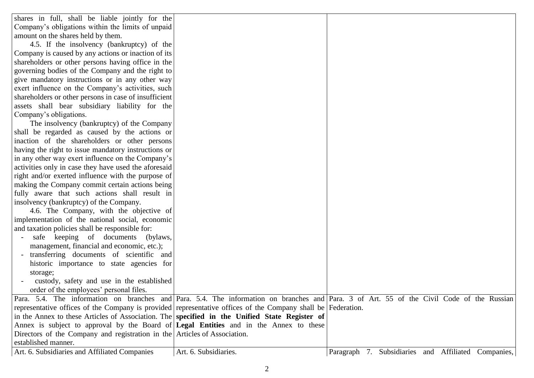| shares in full, shall be liable jointly for the                                                              |                       |                                                                                                                                           |
|--------------------------------------------------------------------------------------------------------------|-----------------------|-------------------------------------------------------------------------------------------------------------------------------------------|
| Company's obligations within the limits of unpaid                                                            |                       |                                                                                                                                           |
| amount on the shares held by them.                                                                           |                       |                                                                                                                                           |
| 4.5. If the insolvency (bankruptcy) of the                                                                   |                       |                                                                                                                                           |
| Company is caused by any actions or inaction of its                                                          |                       |                                                                                                                                           |
| shareholders or other persons having office in the                                                           |                       |                                                                                                                                           |
| governing bodies of the Company and the right to                                                             |                       |                                                                                                                                           |
| give mandatory instructions or in any other way                                                              |                       |                                                                                                                                           |
| exert influence on the Company's activities, such                                                            |                       |                                                                                                                                           |
| shareholders or other persons in case of insufficient                                                        |                       |                                                                                                                                           |
| assets shall bear subsidiary liability for the                                                               |                       |                                                                                                                                           |
| Company's obligations.                                                                                       |                       |                                                                                                                                           |
| The insolvency (bankruptcy) of the Company                                                                   |                       |                                                                                                                                           |
| shall be regarded as caused by the actions or                                                                |                       |                                                                                                                                           |
| inaction of the shareholders or other persons                                                                |                       |                                                                                                                                           |
| having the right to issue mandatory instructions or                                                          |                       |                                                                                                                                           |
| in any other way exert influence on the Company's                                                            |                       |                                                                                                                                           |
| activities only in case they have used the aforesaid                                                         |                       |                                                                                                                                           |
| right and/or exerted influence with the purpose of                                                           |                       |                                                                                                                                           |
| making the Company commit certain actions being                                                              |                       |                                                                                                                                           |
| fully aware that such actions shall result in                                                                |                       |                                                                                                                                           |
| insolvency (bankruptcy) of the Company.                                                                      |                       |                                                                                                                                           |
| 4.6. The Company, with the objective of                                                                      |                       |                                                                                                                                           |
| implementation of the national social, economic                                                              |                       |                                                                                                                                           |
| and taxation policies shall be responsible for:                                                              |                       |                                                                                                                                           |
| safe keeping of documents (bylaws,                                                                           |                       |                                                                                                                                           |
| management, financial and economic, etc.);                                                                   |                       |                                                                                                                                           |
| transferring documents of scientific and                                                                     |                       |                                                                                                                                           |
| historic importance to state agencies for                                                                    |                       |                                                                                                                                           |
| storage;                                                                                                     |                       |                                                                                                                                           |
| custody, safety and use in the established                                                                   |                       |                                                                                                                                           |
| order of the employees' personal files.                                                                      |                       |                                                                                                                                           |
|                                                                                                              |                       | Para. 5.4. The information on branches and Para. 5.4. The information on branches and Para. 3 of Art. 55 of the Civil Code of the Russian |
| representative offices of the Company is provided representative offices of the Company shall be Federation. |                       |                                                                                                                                           |
| in the Annex to these Articles of Association. The <b>specified in the Unified State Register of</b>         |                       |                                                                                                                                           |
| Annex is subject to approval by the Board of Legal Entities and in the Annex to these                        |                       |                                                                                                                                           |
| Directors of the Company and registration in the Articles of Association.                                    |                       |                                                                                                                                           |
| established manner.                                                                                          |                       |                                                                                                                                           |
| Art. 6. Subsidiaries and Affiliated Companies                                                                | Art. 6. Subsidiaries. | Subsidiaries and Affiliated Companies,<br>Paragraph 7.                                                                                    |
|                                                                                                              |                       |                                                                                                                                           |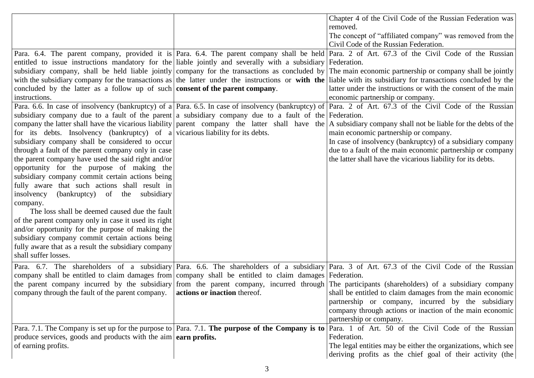|                                                                                                             |                              | Chapter 4 of the Civil Code of the Russian Federation was                                                                                                      |
|-------------------------------------------------------------------------------------------------------------|------------------------------|----------------------------------------------------------------------------------------------------------------------------------------------------------------|
|                                                                                                             |                              | removed.                                                                                                                                                       |
|                                                                                                             |                              | The concept of "affiliated company" was removed from the                                                                                                       |
|                                                                                                             |                              | Civil Code of the Russian Federation.                                                                                                                          |
|                                                                                                             |                              | Para. 6.4. The parent company, provided it is Para. 6.4. The parent company shall be held Para. 2 of Art. 67.3 of the Civil Code of the Russian                |
| entitled to issue instructions mandatory for the liable jointly and severally with a subsidiary Federation. |                              |                                                                                                                                                                |
| subsidiary company, shall be held liable jointly company for the transactions as concluded by               |                              | The main economic partnership or company shall be jointly                                                                                                      |
|                                                                                                             |                              | with the subsidiary company for the transactions as the latter under the instructions or with the liable with its subsidiary for transactions concluded by the |
| concluded by the latter as a follow up of such consent of the parent company.                               |                              | latter under the instructions or with the consent of the main                                                                                                  |
| instructions.                                                                                               |                              | economic partnership or company.                                                                                                                               |
|                                                                                                             |                              | Para. 6.6. In case of insolvency (bankruptcy) of a Para. 6.5. In case of insolvency (bankruptcy) of Para. 2 of Art. 67.3 of the Civil Code of the Russian      |
| subsidiary company due to a fault of the parent a subsidiary company due to a fault of the Federation.      |                              |                                                                                                                                                                |
|                                                                                                             |                              | company the latter shall have the vicarious liability parent company the latter shall have the A subsidiary company shall not be liable for the debts of the   |
| for its debts. Insolvency (bankruptcy) of a vicarious liability for its debts.                              |                              | main economic partnership or company.                                                                                                                          |
| subsidiary company shall be considered to occur                                                             |                              | In case of insolvency (bankruptcy) of a subsidiary company                                                                                                     |
| through a fault of the parent company only in case                                                          |                              | due to a fault of the main economic partnership or company                                                                                                     |
| the parent company have used the said right and/or                                                          |                              | the latter shall have the vicarious liability for its debts.                                                                                                   |
| opportunity for the purpose of making the                                                                   |                              |                                                                                                                                                                |
| subsidiary company commit certain actions being                                                             |                              |                                                                                                                                                                |
| fully aware that such actions shall result in                                                               |                              |                                                                                                                                                                |
| insolvency<br>(bankruptcy) of the subsidiary                                                                |                              |                                                                                                                                                                |
| company.                                                                                                    |                              |                                                                                                                                                                |
| The loss shall be deemed caused due the fault                                                               |                              |                                                                                                                                                                |
| of the parent company only in case it used its right                                                        |                              |                                                                                                                                                                |
| and/or opportunity for the purpose of making the                                                            |                              |                                                                                                                                                                |
| subsidiary company commit certain actions being                                                             |                              |                                                                                                                                                                |
| fully aware that as a result the subsidiary company                                                         |                              |                                                                                                                                                                |
| shall suffer losses.                                                                                        |                              |                                                                                                                                                                |
|                                                                                                             |                              | Para. 6.7. The shareholders of a subsidiary Para. 6.6. The shareholders of a subsidiary Para. 3 of Art. 67.3 of the Civil Code of the Russian                  |
| company shall be entitled to claim damages from company shall be entitled to claim damages Federation.      |                              |                                                                                                                                                                |
|                                                                                                             |                              | the parent company incurred by the subsidiary from the parent company, incurred through The participants (shareholders) of a subsidiary company                |
| company through the fault of the parent company.                                                            | actions or inaction thereof. | shall be entitled to claim damages from the main economic                                                                                                      |
|                                                                                                             |                              | partnership or company, incurred by the subsidiary                                                                                                             |
|                                                                                                             |                              | company through actions or inaction of the main economic                                                                                                       |
|                                                                                                             |                              | partnership or company.                                                                                                                                        |
|                                                                                                             |                              | Para. 7.1. The Company is set up for the purpose to Para. 7.1. The purpose of the Company is to Para. 1 of Art. 50 of the Civil Code of the Russian            |
| produce services, goods and products with the aim $\vert$ earn profits.                                     |                              | Federation.                                                                                                                                                    |
| of earning profits.                                                                                         |                              | The legal entities may be either the organizations, which see                                                                                                  |
|                                                                                                             |                              | deriving profits as the chief goal of their activity (the                                                                                                      |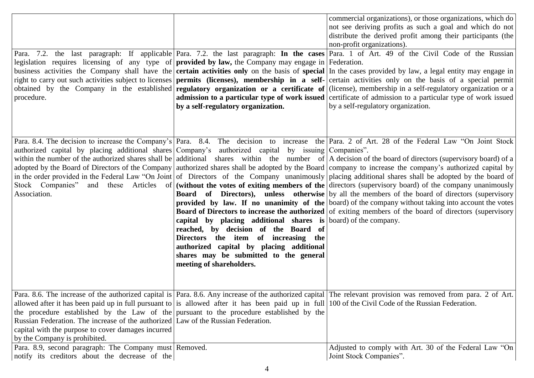| legislation requires licensing of any type of <b>provided by law</b> , the Company may engage in Federation.<br>right to carry out such activities subject to licenses permits (licenses), membership in a self-<br>procedure.                                                                                                                                                                                              |                                                                                                                                                                                                                                                                 | commercial organizations), or those organizations, which do<br>not see deriving profits as such a goal and which do not<br>distribute the derived profit among their participants (the<br>non-profit organizations).<br>Para. 7.2. the last paragraph: If applicable Para. 7.2. the last paragraph: In the cases Para. 1 of Art. 49 of the Civil Code of the Russian<br>business activities the Company shall have the <b>certain activities only</b> on the basis of <b>special</b> In the cases provided by law, a legal entity may engage in<br>certain activities only on the basis of a special permit<br>obtained by the Company in the established regulatory organization or a certificate of (license), membership in a self-regulatory organization or a<br>admission to a particular type of work issued certificate of admission to a particular type of work issued                                                                                                                                                                                                                                             |
|-----------------------------------------------------------------------------------------------------------------------------------------------------------------------------------------------------------------------------------------------------------------------------------------------------------------------------------------------------------------------------------------------------------------------------|-----------------------------------------------------------------------------------------------------------------------------------------------------------------------------------------------------------------------------------------------------------------|------------------------------------------------------------------------------------------------------------------------------------------------------------------------------------------------------------------------------------------------------------------------------------------------------------------------------------------------------------------------------------------------------------------------------------------------------------------------------------------------------------------------------------------------------------------------------------------------------------------------------------------------------------------------------------------------------------------------------------------------------------------------------------------------------------------------------------------------------------------------------------------------------------------------------------------------------------------------------------------------------------------------------------------------------------------------------------------------------------------------------|
|                                                                                                                                                                                                                                                                                                                                                                                                                             | by a self-regulatory organization.                                                                                                                                                                                                                              | by a self-regulatory organization.                                                                                                                                                                                                                                                                                                                                                                                                                                                                                                                                                                                                                                                                                                                                                                                                                                                                                                                                                                                                                                                                                           |
| authorized capital by placing additional shares Company's authorized capital by issuing Companies".<br>Association.                                                                                                                                                                                                                                                                                                         | capital by placing additional shares is board of the company.<br>reached, by decision of the Board of<br>Directors the item of increasing the<br>authorized capital by placing additional<br>shares may be submitted to the general<br>meeting of shareholders. | Para. 8.4. The decision to increase the Company's Para. 8.4. The decision to increase the Para. 2 of Art. 28 of the Federal Law "On Joint Stock<br>within the number of the authorized shares shall be additional shares within the number of   A decision of the board of directors (supervisory board) of a<br>adopted by the Board of Directors of the Company authorized shares shall be adopted by the Board company to increase the company's authorized capital by<br>in the order provided in the Federal Law "On Joint of Directors of the Company unanimously placing additional shares shall be adopted by the board of<br>Stock Companies" and these Articles of (without the votes of exiting members of the directors (supervisory board) of the company unanimously<br><b>Board</b> of Directors), unless otherwise by all the members of the board of directors (supervisory<br><b>provided</b> by law. If no unanimity of the board) of the company without taking into account the votes<br><b>Board of Directors to increase the authorized</b> of exiting members of the board of directors (supervisory |
| allowed after it has been paid up in full pursuant to is allowed after it has been paid up in full 100 of the Civil Code of the Russian Federation.<br>the procedure established by the Law of the pursuant to the procedure established by the<br>Russian Federation. The increase of the authorized Law of the Russian Federation.<br>capital with the purpose to cover damages incurred<br>by the Company is prohibited. |                                                                                                                                                                                                                                                                 | Para. 8.6. The increase of the authorized capital is Para. 8.6. Any increase of the authorized capital The relevant provision was removed from para. 2 of Art.                                                                                                                                                                                                                                                                                                                                                                                                                                                                                                                                                                                                                                                                                                                                                                                                                                                                                                                                                               |
| Para. 8.9, second paragraph: The Company must Removed.<br>notify its creditors about the decrease of the                                                                                                                                                                                                                                                                                                                    |                                                                                                                                                                                                                                                                 | Adjusted to comply with Art. 30 of the Federal Law "On<br>Joint Stock Companies".                                                                                                                                                                                                                                                                                                                                                                                                                                                                                                                                                                                                                                                                                                                                                                                                                                                                                                                                                                                                                                            |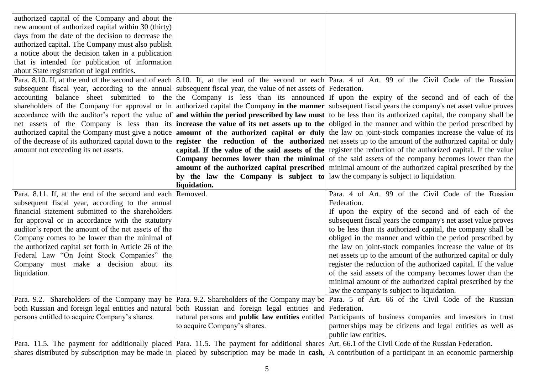| authorized capital of the Company and about the                                                                |                                                                                     |                                                                                                                                                                     |
|----------------------------------------------------------------------------------------------------------------|-------------------------------------------------------------------------------------|---------------------------------------------------------------------------------------------------------------------------------------------------------------------|
| new amount of authorized capital within 30 (thirty)                                                            |                                                                                     |                                                                                                                                                                     |
| days from the date of the decision to decrease the                                                             |                                                                                     |                                                                                                                                                                     |
| authorized capital. The Company must also publish                                                              |                                                                                     |                                                                                                                                                                     |
| a notice about the decision taken in a publication                                                             |                                                                                     |                                                                                                                                                                     |
| that is intended for publication of information                                                                |                                                                                     |                                                                                                                                                                     |
| about State registration of legal entities.                                                                    |                                                                                     |                                                                                                                                                                     |
|                                                                                                                |                                                                                     | Para, 8.10. If, at the end of the second and of each 8.10. If, at the end of the second or each Para. 4 of Art. 99 of the Civil Code of the Russian                 |
| subsequent fiscal year, according to the annual subsequent fiscal year, the value of net assets of Federation. |                                                                                     |                                                                                                                                                                     |
|                                                                                                                |                                                                                     | accounting balance sheet submitted to the the Company is less than its announced If upon the expiry of the second and of each of the                                |
|                                                                                                                |                                                                                     | shareholders of the Company for approval or in authorized capital the Company in the manner subsequent fiscal years the company's net asset value proves            |
|                                                                                                                |                                                                                     | accordance with the auditor's report the value of and within the period prescribed by law must to be less than its authorized capital, the company shall be         |
|                                                                                                                |                                                                                     | net assets of the Company is less than its increase the value of its net assets up to the obliged in the manner and within the period prescribed by                 |
|                                                                                                                |                                                                                     | authorized capital the Company must give a notice amount of the authorized capital or duly the law on joint-stock companies increase the value of its               |
|                                                                                                                |                                                                                     | of the decrease of its authorized capital down to the <b>register</b> the reduction of the authorized net assets up to the amount of the authorized capital or duly |
| amount not exceeding its net assets.                                                                           |                                                                                     | capital. If the value of the said assets of the register the reduction of the authorized capital. If the value                                                      |
|                                                                                                                |                                                                                     | <b>Company becomes lower than the minimal</b> of the said assets of the company becomes lower than the                                                              |
|                                                                                                                |                                                                                     | amount of the authorized capital prescribed minimal amount of the authorized capital prescribed by the                                                              |
|                                                                                                                | by the law the Company is subject to $ $ law the company is subject to liquidation. |                                                                                                                                                                     |
|                                                                                                                | liquidation.                                                                        |                                                                                                                                                                     |
| Para. 8.11. If, at the end of the second and each Removed.                                                     |                                                                                     | Para. 4 of Art. 99 of the Civil Code of the Russian                                                                                                                 |
| subsequent fiscal year, according to the annual                                                                |                                                                                     | Federation.                                                                                                                                                         |
| financial statement submitted to the shareholders                                                              |                                                                                     | If upon the expiry of the second and of each of the                                                                                                                 |
| for approval or in accordance with the statutory                                                               |                                                                                     | subsequent fiscal years the company's net asset value proves                                                                                                        |
| auditor's report the amount of the net assets of the                                                           |                                                                                     | to be less than its authorized capital, the company shall be                                                                                                        |
| Company comes to be lower than the minimal of                                                                  |                                                                                     | obliged in the manner and within the period prescribed by                                                                                                           |
| the authorized capital set forth in Article 26 of the                                                          |                                                                                     | the law on joint-stock companies increase the value of its                                                                                                          |
| Federal Law "On Joint Stock Companies" the                                                                     |                                                                                     | net assets up to the amount of the authorized capital or duly                                                                                                       |
| Company must make a decision about its                                                                         |                                                                                     | register the reduction of the authorized capital. If the value                                                                                                      |
| liquidation.                                                                                                   |                                                                                     | of the said assets of the company becomes lower than the                                                                                                            |
|                                                                                                                |                                                                                     | minimal amount of the authorized capital prescribed by the                                                                                                          |
|                                                                                                                |                                                                                     | law the company is subject to liquidation.                                                                                                                          |
|                                                                                                                |                                                                                     | Para. 9.2. Shareholders of the Company may be Para. 9.2. Shareholders of the Company may be Para. 5 of Art. 66 of the Civil Code of the Russian                     |
| both Russian and foreign legal entities and natural both Russian and foreign legal entities and Federation.    |                                                                                     |                                                                                                                                                                     |
| persons entitled to acquire Company's shares.                                                                  |                                                                                     | natural persons and <b>public law entities</b> entitled Participants of business companies and investors in trust                                                   |
|                                                                                                                | to acquire Company's shares.                                                        | partnerships may be citizens and legal entities as well as                                                                                                          |
|                                                                                                                |                                                                                     | public law entities.                                                                                                                                                |
|                                                                                                                |                                                                                     | Para. 11.5. The payment for additionally placed Para. 11.5. The payment for additional shares Art. 66.1 of the Civil Code of the Russian Federation.                |
|                                                                                                                |                                                                                     | shares distributed by subscription may be made in placed by subscription may be made in cash, $A$ contribution of a participant in an economic partnership          |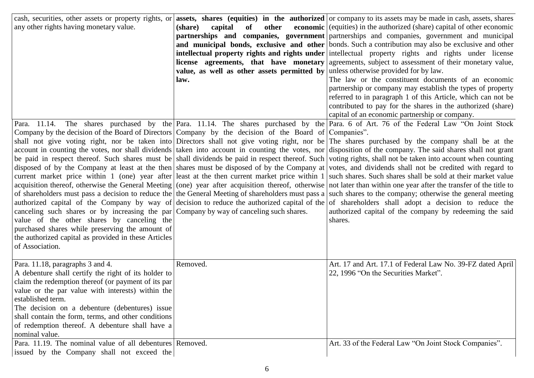| cash, securities, other assets or property rights, or                                                 |                                                                                   | assets, shares (equities) in the authorized or company to its assets may be made in cash, assets, shares                                                             |
|-------------------------------------------------------------------------------------------------------|-----------------------------------------------------------------------------------|----------------------------------------------------------------------------------------------------------------------------------------------------------------------|
| any other rights having monetary value.                                                               | other<br>(share)<br>capital<br>of                                                 | economic (equities) in the authorized (share) capital of other economic                                                                                              |
|                                                                                                       |                                                                                   | partnerships and companies, government partnerships and companies, government and municipal                                                                          |
|                                                                                                       |                                                                                   | and municipal bonds, exclusive and other bonds. Such a contribution may also be exclusive and other                                                                  |
|                                                                                                       |                                                                                   | intellectual property rights and rights under intellectual property rights and rights under license                                                                  |
|                                                                                                       |                                                                                   | <b>license</b> agreements, that have monetary agreements, subject to assessment of their monetary value,                                                             |
|                                                                                                       | value, as well as other assets permitted by unless otherwise provided for by law. |                                                                                                                                                                      |
|                                                                                                       | law.                                                                              | The law or the constituent documents of an economic                                                                                                                  |
|                                                                                                       |                                                                                   | partnership or company may establish the types of property                                                                                                           |
|                                                                                                       |                                                                                   | referred to in paragraph 1 of this Article, which can not be                                                                                                         |
|                                                                                                       |                                                                                   | contributed to pay for the shares in the authorized (share)                                                                                                          |
|                                                                                                       |                                                                                   | capital of an economic partnership or company.                                                                                                                       |
| Para. 11.14.                                                                                          |                                                                                   | The shares purchased by the Para. 11.14. The shares purchased by the Para. 6 of Art. 76 of the Federal Law "On Joint Stock                                           |
| Company by the decision of the Board of Directors Company by the decision of the Board of Companies". |                                                                                   |                                                                                                                                                                      |
|                                                                                                       |                                                                                   | shall not give voting right, nor be taken into Directors shall not give voting right, nor be The shares purchased by the company shall be at the                     |
|                                                                                                       |                                                                                   | account in counting the votes, nor shall dividends taken into account in counting the votes, nor disposition of the company. The said shares shall not grant         |
|                                                                                                       |                                                                                   | be paid in respect thereof. Such shares must be shall dividends be paid in respect thereof. Such voting rights, shall not be taken into account when counting        |
|                                                                                                       |                                                                                   | disposed of by the Company at least at the then shares must be disposed of by the Company at votes, and dividends shall not be credited with regard to               |
|                                                                                                       |                                                                                   | current market price within 1 (one) year after least at the then current market price within 1 such shares. Such shares shall be sold at their market value          |
|                                                                                                       |                                                                                   | acquisition thereof, otherwise the General Meeting (one) year after acquisition thereof, otherwise not later than within one year after the transfer of the title to |
|                                                                                                       |                                                                                   | of shareholders must pass a decision to reduce the the General Meeting of shareholders must pass a such shares to the company; otherwise the general meeting         |
|                                                                                                       |                                                                                   | authorized capital of the Company by way of decision to reduce the authorized capital of the of shareholders shall adopt a decision to reduce the                    |
| canceling such shares or by increasing the par $\lfloor$ Company by way of canceling such shares.     |                                                                                   | authorized capital of the company by redeeming the said                                                                                                              |
| value of the other shares by canceling the                                                            |                                                                                   | shares.                                                                                                                                                              |
| purchased shares while preserving the amount of                                                       |                                                                                   |                                                                                                                                                                      |
| the authorized capital as provided in these Articles                                                  |                                                                                   |                                                                                                                                                                      |
| of Association.                                                                                       |                                                                                   |                                                                                                                                                                      |
| Para. 11.18, paragraphs 3 and 4.                                                                      | Removed.                                                                          | Art. 17 and Art. 17.1 of Federal Law No. 39-FZ dated April                                                                                                           |
| A debenture shall certify the right of its holder to                                                  |                                                                                   | 22, 1996 "On the Securities Market".                                                                                                                                 |
| claim the redemption thereof (or payment of its par                                                   |                                                                                   |                                                                                                                                                                      |
| value or the par value with interests) within the                                                     |                                                                                   |                                                                                                                                                                      |
| established term.                                                                                     |                                                                                   |                                                                                                                                                                      |
| The decision on a debenture (debentures) issue                                                        |                                                                                   |                                                                                                                                                                      |
| shall contain the form, terms, and other conditions                                                   |                                                                                   |                                                                                                                                                                      |
| of redemption thereof. A debenture shall have a                                                       |                                                                                   |                                                                                                                                                                      |
|                                                                                                       |                                                                                   |                                                                                                                                                                      |
|                                                                                                       |                                                                                   |                                                                                                                                                                      |
| nominal value.<br>Para. 11.19. The nominal value of all debentures Removed.                           |                                                                                   | Art. 33 of the Federal Law "On Joint Stock Companies".                                                                                                               |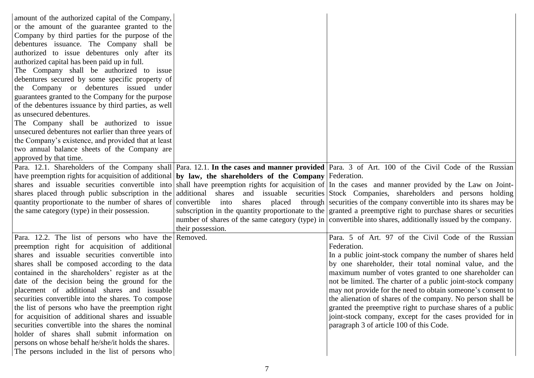| amount of the authorized capital of the Company,<br>or the amount of the guarantee granted to the<br>Company by third parties for the purpose of the<br>debentures issuance. The Company shall be<br>authorized to issue debentures only after its<br>authorized capital has been paid up in full.<br>The Company shall be authorized to issue<br>debentures secured by some specific property of<br>the Company or debentures issued under<br>guarantees granted to the Company for the purpose<br>of the debentures issuance by third parties, as well<br>as unsecured debentures.<br>The Company shall be authorized to issue |                   |                                                                                                                                                       |
|----------------------------------------------------------------------------------------------------------------------------------------------------------------------------------------------------------------------------------------------------------------------------------------------------------------------------------------------------------------------------------------------------------------------------------------------------------------------------------------------------------------------------------------------------------------------------------------------------------------------------------|-------------------|-------------------------------------------------------------------------------------------------------------------------------------------------------|
| unsecured debentures not earlier than three years of                                                                                                                                                                                                                                                                                                                                                                                                                                                                                                                                                                             |                   |                                                                                                                                                       |
| the Company's existence, and provided that at least                                                                                                                                                                                                                                                                                                                                                                                                                                                                                                                                                                              |                   |                                                                                                                                                       |
| two annual balance sheets of the Company are<br>approved by that time.                                                                                                                                                                                                                                                                                                                                                                                                                                                                                                                                                           |                   |                                                                                                                                                       |
|                                                                                                                                                                                                                                                                                                                                                                                                                                                                                                                                                                                                                                  |                   | Para. 12.1. Shareholders of the Company shall Para. 12.1. In the cases and manner provided Para. 3 of Art. 100 of the Civil Code of the Russian       |
| have preemption rights for acquisition of additional by law, the shareholders of the Company Federation.                                                                                                                                                                                                                                                                                                                                                                                                                                                                                                                         |                   |                                                                                                                                                       |
|                                                                                                                                                                                                                                                                                                                                                                                                                                                                                                                                                                                                                                  |                   | shares and issuable securities convertible into shall have preemption rights for acquisition of In the cases and manner provided by the Law on Joint- |
|                                                                                                                                                                                                                                                                                                                                                                                                                                                                                                                                                                                                                                  |                   | shares placed through public subscription in the additional shares and issuable securities Stock Companies, shareholders and persons holding          |
|                                                                                                                                                                                                                                                                                                                                                                                                                                                                                                                                                                                                                                  |                   | quantity proportionate to the number of shares of convertible into shares placed through securities of the company convertible into its shares may be |
| the same category (type) in their possession.                                                                                                                                                                                                                                                                                                                                                                                                                                                                                                                                                                                    |                   | subscription in the quantity proportionate to the granted a preemptive right to purchase shares or securities                                         |
|                                                                                                                                                                                                                                                                                                                                                                                                                                                                                                                                                                                                                                  |                   | number of shares of the same category (type) in convertible into shares, additionally issued by the company.                                          |
|                                                                                                                                                                                                                                                                                                                                                                                                                                                                                                                                                                                                                                  | their possession. |                                                                                                                                                       |
| Para. 12.2. The list of persons who have the Removed.<br>preemption right for acquisition of additional                                                                                                                                                                                                                                                                                                                                                                                                                                                                                                                          |                   | Para. 5 of Art. 97 of the Civil Code of the Russian<br>Federation.                                                                                    |
| shares and issuable securities convertible into                                                                                                                                                                                                                                                                                                                                                                                                                                                                                                                                                                                  |                   | In a public joint-stock company the number of shares held                                                                                             |
| shares shall be composed according to the data                                                                                                                                                                                                                                                                                                                                                                                                                                                                                                                                                                                   |                   | by one shareholder, their total nominal value, and the                                                                                                |
| contained in the shareholders' register as at the                                                                                                                                                                                                                                                                                                                                                                                                                                                                                                                                                                                |                   | maximum number of votes granted to one shareholder can                                                                                                |
| date of the decision being the ground for the                                                                                                                                                                                                                                                                                                                                                                                                                                                                                                                                                                                    |                   | not be limited. The charter of a public joint-stock company                                                                                           |
| placement of additional shares and issuable                                                                                                                                                                                                                                                                                                                                                                                                                                                                                                                                                                                      |                   | may not provide for the need to obtain someone's consent to                                                                                           |
| securities convertible into the shares. To compose                                                                                                                                                                                                                                                                                                                                                                                                                                                                                                                                                                               |                   | the alienation of shares of the company. No person shall be                                                                                           |
| the list of persons who have the preemption right                                                                                                                                                                                                                                                                                                                                                                                                                                                                                                                                                                                |                   | granted the preemptive right to purchase shares of a public                                                                                           |
| for acquisition of additional shares and issuable                                                                                                                                                                                                                                                                                                                                                                                                                                                                                                                                                                                |                   | joint-stock company, except for the cases provided for in                                                                                             |
| securities convertible into the shares the nominal                                                                                                                                                                                                                                                                                                                                                                                                                                                                                                                                                                               |                   | paragraph 3 of article 100 of this Code.                                                                                                              |
| holder of shares shall submit information on                                                                                                                                                                                                                                                                                                                                                                                                                                                                                                                                                                                     |                   |                                                                                                                                                       |
| persons on whose behalf he/she/it holds the shares.                                                                                                                                                                                                                                                                                                                                                                                                                                                                                                                                                                              |                   |                                                                                                                                                       |
| The persons included in the list of persons who                                                                                                                                                                                                                                                                                                                                                                                                                                                                                                                                                                                  |                   |                                                                                                                                                       |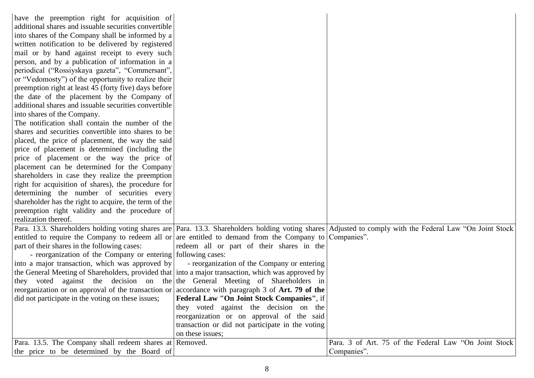| have the preemption right for acquisition of<br>additional shares and issuable securities convertible<br>into shares of the Company shall be informed by a<br>written notification to be delivered by registered<br>mail or by hand against receipt to every such<br>person, and by a publication of information in a<br>periodical ("Rossiyskaya gazeta", "Commersant",<br>or "Vedomosty") of the opportunity to realize their<br>preemption right at least 45 (forty five) days before<br>the date of the placement by the Company of<br>additional shares and issuable securities convertible<br>into shares of the Company.<br>The notification shall contain the number of the<br>shares and securities convertible into shares to be<br>placed, the price of placement, the way the said<br>price of placement is determined (including the<br>price of placement or the way the price of<br>placement can be determined for the Company<br>shareholders in case they realize the preemption<br>right for acquisition of shares), the procedure for<br>determining the number of securities every<br>shareholder has the right to acquire, the term of the<br>preemption right validity and the procedure of<br>realization thereof.<br>Para. 13.3. Shareholders holding voting shares are Para. 13.3. Shareholders holding voting shares Adjusted to comply with the Federal Law "On Joint Stock<br>entitled to require the Company to redeem all or are entitled to demand from the Company to Companies".<br>part of their shares in the following cases:<br>redeem all or part of their shares in the |
|-----------------------------------------------------------------------------------------------------------------------------------------------------------------------------------------------------------------------------------------------------------------------------------------------------------------------------------------------------------------------------------------------------------------------------------------------------------------------------------------------------------------------------------------------------------------------------------------------------------------------------------------------------------------------------------------------------------------------------------------------------------------------------------------------------------------------------------------------------------------------------------------------------------------------------------------------------------------------------------------------------------------------------------------------------------------------------------------------------------------------------------------------------------------------------------------------------------------------------------------------------------------------------------------------------------------------------------------------------------------------------------------------------------------------------------------------------------------------------------------------------------------------------------------------------------------------------------------------------------------|
|                                                                                                                                                                                                                                                                                                                                                                                                                                                                                                                                                                                                                                                                                                                                                                                                                                                                                                                                                                                                                                                                                                                                                                                                                                                                                                                                                                                                                                                                                                                                                                                                                 |
|                                                                                                                                                                                                                                                                                                                                                                                                                                                                                                                                                                                                                                                                                                                                                                                                                                                                                                                                                                                                                                                                                                                                                                                                                                                                                                                                                                                                                                                                                                                                                                                                                 |
|                                                                                                                                                                                                                                                                                                                                                                                                                                                                                                                                                                                                                                                                                                                                                                                                                                                                                                                                                                                                                                                                                                                                                                                                                                                                                                                                                                                                                                                                                                                                                                                                                 |
|                                                                                                                                                                                                                                                                                                                                                                                                                                                                                                                                                                                                                                                                                                                                                                                                                                                                                                                                                                                                                                                                                                                                                                                                                                                                                                                                                                                                                                                                                                                                                                                                                 |
|                                                                                                                                                                                                                                                                                                                                                                                                                                                                                                                                                                                                                                                                                                                                                                                                                                                                                                                                                                                                                                                                                                                                                                                                                                                                                                                                                                                                                                                                                                                                                                                                                 |
|                                                                                                                                                                                                                                                                                                                                                                                                                                                                                                                                                                                                                                                                                                                                                                                                                                                                                                                                                                                                                                                                                                                                                                                                                                                                                                                                                                                                                                                                                                                                                                                                                 |
|                                                                                                                                                                                                                                                                                                                                                                                                                                                                                                                                                                                                                                                                                                                                                                                                                                                                                                                                                                                                                                                                                                                                                                                                                                                                                                                                                                                                                                                                                                                                                                                                                 |
|                                                                                                                                                                                                                                                                                                                                                                                                                                                                                                                                                                                                                                                                                                                                                                                                                                                                                                                                                                                                                                                                                                                                                                                                                                                                                                                                                                                                                                                                                                                                                                                                                 |
|                                                                                                                                                                                                                                                                                                                                                                                                                                                                                                                                                                                                                                                                                                                                                                                                                                                                                                                                                                                                                                                                                                                                                                                                                                                                                                                                                                                                                                                                                                                                                                                                                 |
|                                                                                                                                                                                                                                                                                                                                                                                                                                                                                                                                                                                                                                                                                                                                                                                                                                                                                                                                                                                                                                                                                                                                                                                                                                                                                                                                                                                                                                                                                                                                                                                                                 |
|                                                                                                                                                                                                                                                                                                                                                                                                                                                                                                                                                                                                                                                                                                                                                                                                                                                                                                                                                                                                                                                                                                                                                                                                                                                                                                                                                                                                                                                                                                                                                                                                                 |
|                                                                                                                                                                                                                                                                                                                                                                                                                                                                                                                                                                                                                                                                                                                                                                                                                                                                                                                                                                                                                                                                                                                                                                                                                                                                                                                                                                                                                                                                                                                                                                                                                 |
|                                                                                                                                                                                                                                                                                                                                                                                                                                                                                                                                                                                                                                                                                                                                                                                                                                                                                                                                                                                                                                                                                                                                                                                                                                                                                                                                                                                                                                                                                                                                                                                                                 |
|                                                                                                                                                                                                                                                                                                                                                                                                                                                                                                                                                                                                                                                                                                                                                                                                                                                                                                                                                                                                                                                                                                                                                                                                                                                                                                                                                                                                                                                                                                                                                                                                                 |
|                                                                                                                                                                                                                                                                                                                                                                                                                                                                                                                                                                                                                                                                                                                                                                                                                                                                                                                                                                                                                                                                                                                                                                                                                                                                                                                                                                                                                                                                                                                                                                                                                 |
|                                                                                                                                                                                                                                                                                                                                                                                                                                                                                                                                                                                                                                                                                                                                                                                                                                                                                                                                                                                                                                                                                                                                                                                                                                                                                                                                                                                                                                                                                                                                                                                                                 |
|                                                                                                                                                                                                                                                                                                                                                                                                                                                                                                                                                                                                                                                                                                                                                                                                                                                                                                                                                                                                                                                                                                                                                                                                                                                                                                                                                                                                                                                                                                                                                                                                                 |
|                                                                                                                                                                                                                                                                                                                                                                                                                                                                                                                                                                                                                                                                                                                                                                                                                                                                                                                                                                                                                                                                                                                                                                                                                                                                                                                                                                                                                                                                                                                                                                                                                 |
|                                                                                                                                                                                                                                                                                                                                                                                                                                                                                                                                                                                                                                                                                                                                                                                                                                                                                                                                                                                                                                                                                                                                                                                                                                                                                                                                                                                                                                                                                                                                                                                                                 |
|                                                                                                                                                                                                                                                                                                                                                                                                                                                                                                                                                                                                                                                                                                                                                                                                                                                                                                                                                                                                                                                                                                                                                                                                                                                                                                                                                                                                                                                                                                                                                                                                                 |
|                                                                                                                                                                                                                                                                                                                                                                                                                                                                                                                                                                                                                                                                                                                                                                                                                                                                                                                                                                                                                                                                                                                                                                                                                                                                                                                                                                                                                                                                                                                                                                                                                 |
|                                                                                                                                                                                                                                                                                                                                                                                                                                                                                                                                                                                                                                                                                                                                                                                                                                                                                                                                                                                                                                                                                                                                                                                                                                                                                                                                                                                                                                                                                                                                                                                                                 |
|                                                                                                                                                                                                                                                                                                                                                                                                                                                                                                                                                                                                                                                                                                                                                                                                                                                                                                                                                                                                                                                                                                                                                                                                                                                                                                                                                                                                                                                                                                                                                                                                                 |
|                                                                                                                                                                                                                                                                                                                                                                                                                                                                                                                                                                                                                                                                                                                                                                                                                                                                                                                                                                                                                                                                                                                                                                                                                                                                                                                                                                                                                                                                                                                                                                                                                 |
|                                                                                                                                                                                                                                                                                                                                                                                                                                                                                                                                                                                                                                                                                                                                                                                                                                                                                                                                                                                                                                                                                                                                                                                                                                                                                                                                                                                                                                                                                                                                                                                                                 |
|                                                                                                                                                                                                                                                                                                                                                                                                                                                                                                                                                                                                                                                                                                                                                                                                                                                                                                                                                                                                                                                                                                                                                                                                                                                                                                                                                                                                                                                                                                                                                                                                                 |
|                                                                                                                                                                                                                                                                                                                                                                                                                                                                                                                                                                                                                                                                                                                                                                                                                                                                                                                                                                                                                                                                                                                                                                                                                                                                                                                                                                                                                                                                                                                                                                                                                 |
|                                                                                                                                                                                                                                                                                                                                                                                                                                                                                                                                                                                                                                                                                                                                                                                                                                                                                                                                                                                                                                                                                                                                                                                                                                                                                                                                                                                                                                                                                                                                                                                                                 |
| - reorganization of the Company or entering following cases:                                                                                                                                                                                                                                                                                                                                                                                                                                                                                                                                                                                                                                                                                                                                                                                                                                                                                                                                                                                                                                                                                                                                                                                                                                                                                                                                                                                                                                                                                                                                                    |
| into a major transaction, which was approved by<br>- reorganization of the Company or entering                                                                                                                                                                                                                                                                                                                                                                                                                                                                                                                                                                                                                                                                                                                                                                                                                                                                                                                                                                                                                                                                                                                                                                                                                                                                                                                                                                                                                                                                                                                  |
| the General Meeting of Shareholders, provided that into a major transaction, which was approved by                                                                                                                                                                                                                                                                                                                                                                                                                                                                                                                                                                                                                                                                                                                                                                                                                                                                                                                                                                                                                                                                                                                                                                                                                                                                                                                                                                                                                                                                                                              |
| they voted against the decision on the the General Meeting of Shareholders in                                                                                                                                                                                                                                                                                                                                                                                                                                                                                                                                                                                                                                                                                                                                                                                                                                                                                                                                                                                                                                                                                                                                                                                                                                                                                                                                                                                                                                                                                                                                   |
| reorganization or on approval of the transaction or accordance with paragraph 3 of Art. 79 of the                                                                                                                                                                                                                                                                                                                                                                                                                                                                                                                                                                                                                                                                                                                                                                                                                                                                                                                                                                                                                                                                                                                                                                                                                                                                                                                                                                                                                                                                                                               |
| <b>Federal Law "On Joint Stock Companies"</b> , if<br>did not participate in the voting on these issues;                                                                                                                                                                                                                                                                                                                                                                                                                                                                                                                                                                                                                                                                                                                                                                                                                                                                                                                                                                                                                                                                                                                                                                                                                                                                                                                                                                                                                                                                                                        |
| they voted against the decision on the                                                                                                                                                                                                                                                                                                                                                                                                                                                                                                                                                                                                                                                                                                                                                                                                                                                                                                                                                                                                                                                                                                                                                                                                                                                                                                                                                                                                                                                                                                                                                                          |
| reorganization or on approval of the said                                                                                                                                                                                                                                                                                                                                                                                                                                                                                                                                                                                                                                                                                                                                                                                                                                                                                                                                                                                                                                                                                                                                                                                                                                                                                                                                                                                                                                                                                                                                                                       |
| transaction or did not participate in the voting                                                                                                                                                                                                                                                                                                                                                                                                                                                                                                                                                                                                                                                                                                                                                                                                                                                                                                                                                                                                                                                                                                                                                                                                                                                                                                                                                                                                                                                                                                                                                                |
| on these issues;                                                                                                                                                                                                                                                                                                                                                                                                                                                                                                                                                                                                                                                                                                                                                                                                                                                                                                                                                                                                                                                                                                                                                                                                                                                                                                                                                                                                                                                                                                                                                                                                |
| Para. 3 of Art. 75 of the Federal Law "On Joint Stock"<br>Para. 13.5. The Company shall redeem shares at Removed.                                                                                                                                                                                                                                                                                                                                                                                                                                                                                                                                                                                                                                                                                                                                                                                                                                                                                                                                                                                                                                                                                                                                                                                                                                                                                                                                                                                                                                                                                               |
| the price to be determined by the Board of<br>Companies".                                                                                                                                                                                                                                                                                                                                                                                                                                                                                                                                                                                                                                                                                                                                                                                                                                                                                                                                                                                                                                                                                                                                                                                                                                                                                                                                                                                                                                                                                                                                                       |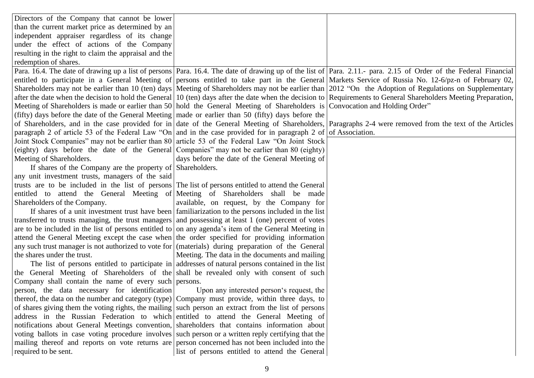| Directors of the Company that cannot be lower                                                                                 |                                                                                                    |                                                                                                                                                                  |
|-------------------------------------------------------------------------------------------------------------------------------|----------------------------------------------------------------------------------------------------|------------------------------------------------------------------------------------------------------------------------------------------------------------------|
| than the current market price as determined by an                                                                             |                                                                                                    |                                                                                                                                                                  |
| independent appraiser regardless of its change                                                                                |                                                                                                    |                                                                                                                                                                  |
| under the effect of actions of the Company                                                                                    |                                                                                                    |                                                                                                                                                                  |
| resulting in the right to claim the appraisal and the                                                                         |                                                                                                    |                                                                                                                                                                  |
| redemption of shares.                                                                                                         |                                                                                                    |                                                                                                                                                                  |
|                                                                                                                               |                                                                                                    | Para. 16.4. The date of drawing up a list of persons Para. 16.4. The date of drawing up of the list of Para. 2.11.- para. 2.15 of Order of the Federal Financial |
|                                                                                                                               |                                                                                                    | entitled to participate in a General Meeting of persons entitled to take part in the General Markets Service of Russia No. 12-6/pz-n of February 02,             |
|                                                                                                                               |                                                                                                    | Shareholders may not be earlier than 10 (ten) days Meeting of Shareholders may not be earlier than 2012 "On the Adoption of Regulations on Supplementary         |
|                                                                                                                               |                                                                                                    | after the date when the decision to hold the General 10 (ten) days after the date when the decision to Requirements to General Shareholders Meeting Preparation, |
| Meeting of Shareholders is made or earlier than 50 hold the General Meeting of Shareholders is Convocation and Holding Order" |                                                                                                    |                                                                                                                                                                  |
| (fifty) days before the date of the General Meeting made or earlier than 50 (fifty) days before the                           |                                                                                                    |                                                                                                                                                                  |
|                                                                                                                               |                                                                                                    | of Shareholders, and in the case provided for in date of the General Meeting of Shareholders, Paragraphs 2-4 were removed from the text of the Articles          |
| paragraph 2 of article 53 of the Federal Law "On and in the case provided for in paragraph 2 of of Association.               |                                                                                                    |                                                                                                                                                                  |
| Joint Stock Companies" may not be earlier than 80 article 53 of the Federal Law "On Joint Stock                               |                                                                                                    |                                                                                                                                                                  |
| (eighty) days before the date of the General Companies" may not be earlier than 80 (eighty)                                   |                                                                                                    |                                                                                                                                                                  |
| Meeting of Shareholders.                                                                                                      | days before the date of the General Meeting of                                                     |                                                                                                                                                                  |
| If shares of the Company are the property of Shareholders.                                                                    |                                                                                                    |                                                                                                                                                                  |
| any unit investment trusts, managers of the said                                                                              |                                                                                                    |                                                                                                                                                                  |
| trusts are to be included in the list of persons The list of persons entitled to attend the General                           |                                                                                                    |                                                                                                                                                                  |
| entitled to attend the General Meeting of Meeting of Shareholders shall be made                                               |                                                                                                    |                                                                                                                                                                  |
| Shareholders of the Company.                                                                                                  | available, on request, by the Company for                                                          |                                                                                                                                                                  |
|                                                                                                                               | If shares of a unit investment trust have been familiarization to the persons included in the list |                                                                                                                                                                  |
| transferred to trusts managing, the trust managers and possessing at least 1 (one) percent of votes                           |                                                                                                    |                                                                                                                                                                  |
| are to be included in the list of persons entitled to on any agenda's item of the General Meeting in                          |                                                                                                    |                                                                                                                                                                  |
| attend the General Meeting except the case when the order specified for providing information                                 |                                                                                                    |                                                                                                                                                                  |
| any such trust manager is not authorized to vote for (materials) during preparation of the General                            |                                                                                                    |                                                                                                                                                                  |
| the shares under the trust.                                                                                                   | Meeting. The data in the documents and mailing                                                     |                                                                                                                                                                  |
|                                                                                                                               | The list of persons entitled to participate in addresses of natural persons contained in the list  |                                                                                                                                                                  |
| the General Meeting of Shareholders of the shall be revealed only with consent of such                                        |                                                                                                    |                                                                                                                                                                  |
| Company shall contain the name of every such persons.                                                                         |                                                                                                    |                                                                                                                                                                  |
| person, the data necessary for identification                                                                                 | Upon any interested person's request, the                                                          |                                                                                                                                                                  |
| thereof, the data on the number and category (type) Company must provide, within three days, to                               |                                                                                                    |                                                                                                                                                                  |
| of shares giving them the voting rights, the mailing such person an extract from the list of persons                          |                                                                                                    |                                                                                                                                                                  |
| address in the Russian Federation to which entitled to attend the General Meeting of                                          |                                                                                                    |                                                                                                                                                                  |
| notifications about General Meetings convention, shareholders that contains information about                                 |                                                                                                    |                                                                                                                                                                  |
| voting ballots in case voting procedure involves such person or a written reply certifying that the                           |                                                                                                    |                                                                                                                                                                  |
| mailing thereof and reports on vote returns are person concerned has not been included into the                               |                                                                                                    |                                                                                                                                                                  |
| required to be sent.                                                                                                          | list of persons entitled to attend the General                                                     |                                                                                                                                                                  |
|                                                                                                                               |                                                                                                    |                                                                                                                                                                  |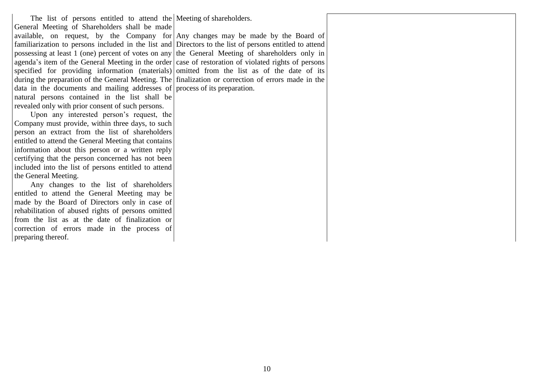The list of persons entitled to attend the Meeting of shareholders. General Meeting of Shareholders shall be made available, on request, by the Company for  $\vert$  Any changes may be made by the Board of familiarization to persons included in the list and Directors to the list of persons entitled to attend possessing at least 1 (one) percent of votes on any the General Meeting of shareholders only in agenda's item of the General Meeting in the order case of restoration of violated rights of persons specified for providing information (materials) omitted from the list as of the date of its during the preparation of the General Meeting. The finalization or correction of errors made in the data in the documents and mailing addresses of process of its preparation. natural persons contained in the list shall be revealed only with prior consent of such persons.

Upon any interested person's request, the Company must provide, within three days, to such person an extract from the list of shareholders entitled to attend the General Meeting that contains information about this person or a written reply certifying that the person concerned has not been included into the list of persons entitled to attend the General Meeting.

Any changes to the list of shareholders entitled to attend the General Meeting may be made by the Board of Directors only in case of rehabilitation of abused rights of persons omitted from the list as at the date of finalization or correction of errors made in the process of preparing thereof.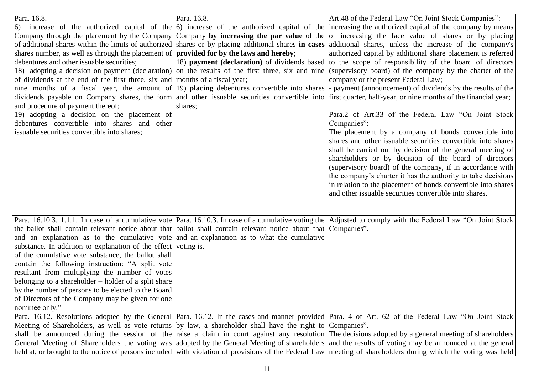| Para. 16.8.<br>shares number, as well as through the placement of <b>provided for by the laws and hereby</b> ;<br>debentures and other issuable securities;<br>of dividends at the end of the first three, six and months of a fiscal year;<br>nine months of a fiscal year, the amount of 19) <b>placing</b> debentures convertible into shares<br>and procedure of payment thereof;<br>19) adopting a decision on the placement of<br>debentures convertible into shares and other<br>issuable securities convertible into shares;                                                                                            | Para. 16.8.<br>shares; | Art.48 of the Federal Law "On Joint Stock Companies":<br>6) increase of the authorized capital of the $\vert 6$ increase of the authorized capital of the increasing the authorized capital of the company by means<br>Company through the placement by the Company   Company by increasing the par value of the   of increasing the face value of shares or by placing<br>of additional shares within the limits of authorized shares or by placing additional shares in cases additional shares, unless the increase of the company's<br>authorized capital by additional share placement is referred<br>18) <b>payment</b> (declaration) of dividends based to the scope of responsibility of the board of directors<br>18) adopting a decision on payment (declaration) on the results of the first three, six and nine (supervisory board) of the company by the charter of the<br>company or the present Federal Law;<br>- payment (announcement) of dividends by the results of the<br>dividends payable on Company shares, the form and other issuable securities convertible into first quarter, half-year, or nine months of the financial year;<br>Para.2 of Art.33 of the Federal Law "On Joint Stock<br>Companies":<br>The placement by a company of bonds convertible into<br>shares and other issuable securities convertible into shares<br>shall be carried out by decision of the general meeting of<br>shareholders or by decision of the board of directors<br>(supervisory board) of the company, if in accordance with<br>the company's charter it has the authority to take decisions<br>in relation to the placement of bonds convertible into shares<br>and other issuable securities convertible into shares. |
|---------------------------------------------------------------------------------------------------------------------------------------------------------------------------------------------------------------------------------------------------------------------------------------------------------------------------------------------------------------------------------------------------------------------------------------------------------------------------------------------------------------------------------------------------------------------------------------------------------------------------------|------------------------|-----------------------------------------------------------------------------------------------------------------------------------------------------------------------------------------------------------------------------------------------------------------------------------------------------------------------------------------------------------------------------------------------------------------------------------------------------------------------------------------------------------------------------------------------------------------------------------------------------------------------------------------------------------------------------------------------------------------------------------------------------------------------------------------------------------------------------------------------------------------------------------------------------------------------------------------------------------------------------------------------------------------------------------------------------------------------------------------------------------------------------------------------------------------------------------------------------------------------------------------------------------------------------------------------------------------------------------------------------------------------------------------------------------------------------------------------------------------------------------------------------------------------------------------------------------------------------------------------------------------------------------------------------------------------------------------------------------------------------------------|
| the ballot shall contain relevant notice about that ballot shall contain relevant notice about that Companies".<br>and an explanation as to the cumulative vote and an explanation as to what the cumulative<br>substance. In addition to explanation of the effect voting is.<br>of the cumulative vote substance, the ballot shall<br>contain the following instruction: "A split vote<br>resultant from multiplying the number of votes<br>belonging to a shareholder – holder of a split share<br>by the number of persons to be elected to the Board<br>of Directors of the Company may be given for one<br>nominee only." |                        | Para. 16.10.3. 1.1.1. In case of a cumulative vote Para. 16.10.3. In case of a cumulative voting the Adjusted to comply with the Federal Law "On Joint Stock"                                                                                                                                                                                                                                                                                                                                                                                                                                                                                                                                                                                                                                                                                                                                                                                                                                                                                                                                                                                                                                                                                                                                                                                                                                                                                                                                                                                                                                                                                                                                                                           |
| Meeting of Shareholders, as well as vote returns by law, a shareholder shall have the right to Companies".                                                                                                                                                                                                                                                                                                                                                                                                                                                                                                                      |                        | Para. 16.12. Resolutions adopted by the General Para. 16.12. In the cases and manner provided Para. 4 of Art. 62 of the Federal Law "On Joint Stock<br>shall be announced during the session of the raise a claim in court against any resolution The decisions adopted by a general meeting of shareholders<br>General Meeting of Shareholders the voting was adopted by the General Meeting of shareholders and the results of voting may be announced at the general<br>held at, or brought to the notice of persons included with violation of provisions of the Federal Law meeting of shareholders during which the voting was held                                                                                                                                                                                                                                                                                                                                                                                                                                                                                                                                                                                                                                                                                                                                                                                                                                                                                                                                                                                                                                                                                               |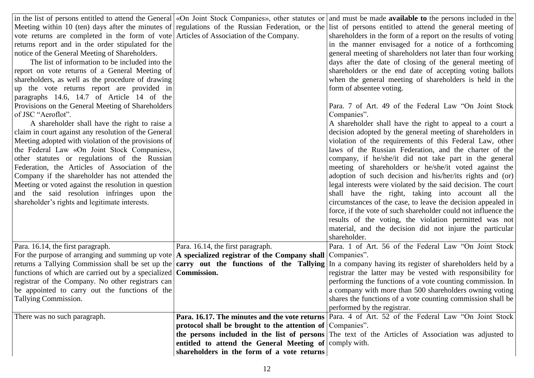|                                                                                                              |                                                           | in the list of persons entitled to attend the General («On Joint Stock Companies», other statutes or and must be made available to the persons included in the      |
|--------------------------------------------------------------------------------------------------------------|-----------------------------------------------------------|---------------------------------------------------------------------------------------------------------------------------------------------------------------------|
|                                                                                                              |                                                           | Meeting within 10 (ten) days after the minutes of regulations of the Russian Federation, or the list of persons entitled to attend the general meeting of           |
| vote returns are completed in the form of vote Articles of Association of the Company.                       |                                                           | shareholders in the form of a report on the results of voting                                                                                                       |
| returns report and in the order stipulated for the                                                           |                                                           | in the manner envisaged for a notice of a forthcoming                                                                                                               |
| notice of the General Meeting of Shareholders.                                                               |                                                           | general meeting of shareholders not later than four working                                                                                                         |
| The list of information to be included into the                                                              |                                                           | days after the date of closing of the general meeting of                                                                                                            |
| report on vote returns of a General Meeting of                                                               |                                                           | shareholders or the end date of accepting voting ballots                                                                                                            |
| shareholders, as well as the procedure of drawing                                                            |                                                           | when the general meeting of shareholders is held in the                                                                                                             |
| up the vote returns report are provided in                                                                   |                                                           | form of absentee voting.                                                                                                                                            |
| paragraphs 14.6, 14.7 of Article 14 of the                                                                   |                                                           |                                                                                                                                                                     |
| Provisions on the General Meeting of Shareholders                                                            |                                                           | Para. 7 of Art. 49 of the Federal Law "On Joint Stock                                                                                                               |
| of JSC "Aeroflot".                                                                                           |                                                           | Companies".                                                                                                                                                         |
| A shareholder shall have the right to raise a                                                                |                                                           | A shareholder shall have the right to appeal to a court a                                                                                                           |
| claim in court against any resolution of the General                                                         |                                                           | decision adopted by the general meeting of shareholders in                                                                                                          |
| Meeting adopted with violation of the provisions of                                                          |                                                           | violation of the requirements of this Federal Law, other                                                                                                            |
| the Federal Law «On Joint Stock Companies»,                                                                  |                                                           | laws of the Russian Federation, and the charter of the                                                                                                              |
| other statutes or regulations of the Russian                                                                 |                                                           | company, if he/she/it did not take part in the general                                                                                                              |
| Federation, the Articles of Association of the                                                               |                                                           | meeting of shareholders or he/she/it voted against the                                                                                                              |
| Company if the shareholder has not attended the                                                              |                                                           | adoption of such decision and his/her/its rights and (or)                                                                                                           |
| Meeting or voted against the resolution in question                                                          |                                                           | legal interests were violated by the said decision. The court                                                                                                       |
| and the said resolution infringes upon the                                                                   |                                                           | shall have the right, taking into account all the                                                                                                                   |
| shareholder's rights and legitimate interests.                                                               |                                                           | circumstances of the case, to leave the decision appealed in                                                                                                        |
|                                                                                                              |                                                           | force, if the vote of such shareholder could not influence the                                                                                                      |
|                                                                                                              |                                                           | results of the voting, the violation permitted was not                                                                                                              |
|                                                                                                              |                                                           | material, and the decision did not injure the particular                                                                                                            |
|                                                                                                              |                                                           | shareholder.                                                                                                                                                        |
| Para. 16.14, the first paragraph.                                                                            | Para. 16.14, the first paragraph.                         | Para. 1 of Art. 56 of the Federal Law "On Joint Stock                                                                                                               |
| For the purpose of arranging and summing up vote $ A$ specialized registrar of the Company shall Companies". |                                                           |                                                                                                                                                                     |
|                                                                                                              |                                                           | returns a Tallying Commission shall be set up the $\vert$ <b>carry</b> out the functions of the Tallying In a company having its register of shareholders held by a |
| functions of which are carried out by a specialized <b>Commission.</b>                                       |                                                           | registrar the latter may be vested with responsibility for                                                                                                          |
| registrar of the Company. No other registrars can                                                            |                                                           | performing the functions of a vote counting commission. In                                                                                                          |
| be appointed to carry out the functions of the                                                               |                                                           | a company with more than 500 shareholders owning voting                                                                                                             |
| Tallying Commission.                                                                                         |                                                           | shares the functions of a vote counting commission shall be                                                                                                         |
|                                                                                                              |                                                           | performed by the registrar.                                                                                                                                         |
| There was no such paragraph.                                                                                 |                                                           | <b>Para. 16.17. The minutes and the vote returns</b> Para. 4 of Art. 52 of the Federal Law "On Joint Stock"                                                         |
|                                                                                                              | protocol shall be brought to the attention of Companies". |                                                                                                                                                                     |
|                                                                                                              |                                                           | the persons included in the list of persons The text of the Articles of Association was adjusted to                                                                 |
|                                                                                                              | entitled to attend the General Meeting of comply with.    |                                                                                                                                                                     |
|                                                                                                              | shareholders in the form of a vote returns                |                                                                                                                                                                     |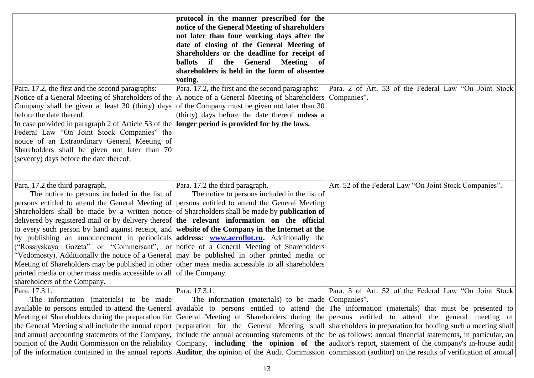|                                                                                                        | protocol in the manner prescribed for the          |                                                                                                                                                                       |
|--------------------------------------------------------------------------------------------------------|----------------------------------------------------|-----------------------------------------------------------------------------------------------------------------------------------------------------------------------|
|                                                                                                        | notice of the General Meeting of shareholders      |                                                                                                                                                                       |
|                                                                                                        | not later than four working days after the         |                                                                                                                                                                       |
|                                                                                                        | date of closing of the General Meeting of          |                                                                                                                                                                       |
|                                                                                                        | Shareholders or the deadline for receipt of        |                                                                                                                                                                       |
|                                                                                                        | ballots if<br>the General<br><b>Meeting</b><br>of  |                                                                                                                                                                       |
|                                                                                                        | shareholders is held in the form of absentee       |                                                                                                                                                                       |
|                                                                                                        | voting.                                            |                                                                                                                                                                       |
| Para. 17.2, the first and the second paragraphs:                                                       | Para. 17.2, the first and the second paragraphs:   | Para. 2 of Art. 53 of the Federal Law "On Joint Stock                                                                                                                 |
| Notice of a General Meeting of Shareholders of the                                                     | A notice of a General Meeting of Shareholders      | Companies".                                                                                                                                                           |
| Company shall be given at least 30 (thirty) days                                                       | of the Company must be given not later than 30     |                                                                                                                                                                       |
| before the date thereof.                                                                               | (thirty) days before the date thereof unless a     |                                                                                                                                                                       |
| In case provided in paragraph 2 of Article 53 of the <b>longer period is provided for by the laws.</b> |                                                    |                                                                                                                                                                       |
| Federal Law "On Joint Stock Companies" the                                                             |                                                    |                                                                                                                                                                       |
| notice of an Extraordinary General Meeting of                                                          |                                                    |                                                                                                                                                                       |
| Shareholders shall be given not later than 70                                                          |                                                    |                                                                                                                                                                       |
| (seventy) days before the date thereof.                                                                |                                                    |                                                                                                                                                                       |
|                                                                                                        |                                                    |                                                                                                                                                                       |
|                                                                                                        |                                                    |                                                                                                                                                                       |
| Para. 17.2 the third paragraph.                                                                        | Para. 17.2 the third paragraph.                    | Art. 52 of the Federal Law "On Joint Stock Companies".                                                                                                                |
| The notice to persons included in the list of                                                          | The notice to persons included in the list of      |                                                                                                                                                                       |
| persons entitled to attend the General Meeting of persons entitled to attend the General Meeting       |                                                    |                                                                                                                                                                       |
| Shareholders shall be made by a written notice of Shareholders shall be made by <b>publication of</b>  |                                                    |                                                                                                                                                                       |
| delivered by registered mail or by delivery thereof $\vert$ the relevant information on the official   |                                                    |                                                                                                                                                                       |
| to every such person by hand against receipt, and website of the Company in the Internet at the        |                                                    |                                                                                                                                                                       |
| by publishing an announcement in periodicals <b>address: www.aeroflot.ru.</b> Additionally the         |                                                    |                                                                                                                                                                       |
| ("Rossiyskaya Gazeta" or "Commersant", or notice of a General Meeting of Shareholders                  |                                                    |                                                                                                                                                                       |
| "Vedomosty). Additionally the notice of a General   may be published in other printed media or         |                                                    |                                                                                                                                                                       |
| Meeting of Shareholders may be published in other other mass media accessible to all shareholders      |                                                    |                                                                                                                                                                       |
| printed media or other mass media accessible to all of the Company.                                    |                                                    |                                                                                                                                                                       |
| shareholders of the Company.                                                                           |                                                    |                                                                                                                                                                       |
| Para. 17.3.1.                                                                                          | Para. 17.3.1.                                      | Para. 3 of Art. 52 of the Federal Law "On Joint Stock                                                                                                                 |
| The information (materials) to be made                                                                 | The information (materials) to be made Companies". |                                                                                                                                                                       |
|                                                                                                        |                                                    | available to persons entitled to attend the General available to persons entitled to attend the The information (materials) that must be presented to                 |
|                                                                                                        |                                                    | Meeting of Shareholders during the preparation for General Meeting of Shareholders during the persons entitled to attend the general meeting of                       |
|                                                                                                        |                                                    | the General Meeting shall include the annual report preparation for the General Meeting shall shareholders in preparation for holding such a meeting shall            |
|                                                                                                        |                                                    | and annual accounting statements of the Company, include the annual accounting statements of the be as follows: annual financial statements, in particular, an        |
|                                                                                                        |                                                    | opinion of the Audit Commission on the reliability Company, <b>including the opinion of the</b> auditor's report, statement of the company's in-house audit           |
|                                                                                                        |                                                    | of the information contained in the annual reports <b>Auditor</b> , the opinion of the Audit Commission commission (auditor) on the results of verification of annual |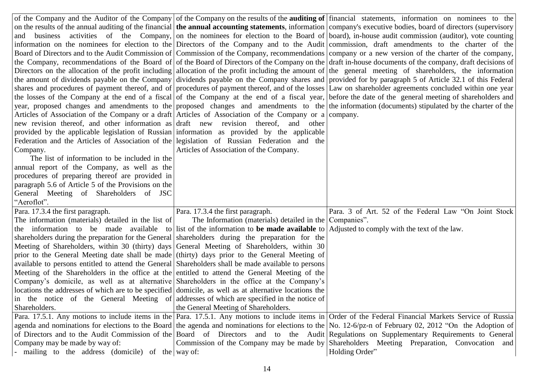|                                                                                                                                      |                                                         | of the Company and the Auditor of the Company of the Company on the results of the <b>auditing of</b> financial statements, information on nominees to the       |
|--------------------------------------------------------------------------------------------------------------------------------------|---------------------------------------------------------|------------------------------------------------------------------------------------------------------------------------------------------------------------------|
|                                                                                                                                      |                                                         | on the results of the annual auditing of the financial the annual accounting statements, information company's executive bodies, board of directors (supervisory |
|                                                                                                                                      |                                                         | and business activities of the Company, on the nominees for election to the Board of board), in-house audit commission (auditor), vote counting                  |
|                                                                                                                                      |                                                         | information on the nominees for election to the Directors of the Company and to the Audit commission, draft amendments to the charter of the                     |
|                                                                                                                                      |                                                         | Board of Directors and to the Audit Commission of Commission of the Company, recommendations company or a new version of the charter of the company,             |
|                                                                                                                                      |                                                         | the Company, recommendations of the Board of of the Board of Directors of the Company on the draft in-house documents of the company, draft decisions of         |
|                                                                                                                                      |                                                         | Directors on the allocation of the profit including allocation of the profit including the amount of the general meeting of shareholders, the information        |
|                                                                                                                                      |                                                         | the amount of dividends payable on the Company dividends payable on the Company shares and provided for by paragraph 5 of Article 32.1 of this Federal           |
|                                                                                                                                      |                                                         | shares and procedures of payment thereof, and of procedures of payment thereof, and of the losses Law on shareholder agreements concluded within one year        |
|                                                                                                                                      |                                                         | the losses of the Company at the end of a fiscal of the Company at the end of a fiscal year, before the date of the general meeting of shareholders and          |
|                                                                                                                                      |                                                         | year, proposed changes and amendments to the proposed changes and amendments to the the information (documents) stipulated by the charter of the                 |
| Articles of Association of the Company or a draft Articles of Association of the Company or a company.                               |                                                         |                                                                                                                                                                  |
| new revision thereof, and other information as draft new revision thereof, and other                                                 |                                                         |                                                                                                                                                                  |
| provided by the applicable legislation of Russian information as provided by the applicable                                          |                                                         |                                                                                                                                                                  |
| Federation and the Articles of Association of the legislation of Russian Federation and the                                          |                                                         |                                                                                                                                                                  |
| Company.                                                                                                                             | Articles of Association of the Company.                 |                                                                                                                                                                  |
| The list of information to be included in the                                                                                        |                                                         |                                                                                                                                                                  |
| annual report of the Company, as well as the                                                                                         |                                                         |                                                                                                                                                                  |
| procedures of preparing thereof are provided in                                                                                      |                                                         |                                                                                                                                                                  |
| paragraph 5.6 of Article 5 of the Provisions on the                                                                                  |                                                         |                                                                                                                                                                  |
| General Meeting of Shareholders of JSC                                                                                               |                                                         |                                                                                                                                                                  |
| "Aeroflot".                                                                                                                          |                                                         |                                                                                                                                                                  |
| Para. 17.3.4 the first paragraph.                                                                                                    | Para. 17.3.4 the first paragraph.                       | Para. 3 of Art. 52 of the Federal Law "On Joint Stock                                                                                                            |
| The information (materials) detailed in the list of                                                                                  | The Information (materials) detailed in the Companies". |                                                                                                                                                                  |
| the information to be made available to list of the information to be made available to Adjusted to comply with the text of the law. |                                                         |                                                                                                                                                                  |
| shareholders during the preparation for the General shareholders during the preparation for the                                      |                                                         |                                                                                                                                                                  |
| Meeting of Shareholders, within 30 (thirty) days General Meeting of Shareholders, within 30                                          |                                                         |                                                                                                                                                                  |
| prior to the General Meeting date shall be made (thirty) days prior to the General Meeting of                                        |                                                         |                                                                                                                                                                  |
| available to persons entitled to attend the General Shareholders shall be made available to persons                                  |                                                         |                                                                                                                                                                  |
| Meeting of the Shareholders in the office at the entitled to attend the General Meeting of the                                       |                                                         |                                                                                                                                                                  |
| Company's domicile, as well as at alternative Shareholders in the office at the Company's                                            |                                                         |                                                                                                                                                                  |
| locations the addresses of which are to be specified domicile, as well as at alternative locations the                               |                                                         |                                                                                                                                                                  |
| in the notice of the General Meeting of addresses of which are specified in the notice of                                            |                                                         |                                                                                                                                                                  |
| Shareholders.                                                                                                                        | the General Meeting of Shareholders.                    |                                                                                                                                                                  |
|                                                                                                                                      |                                                         | Para. 17.5.1. Any motions to include items in the Para. 17.5.1. Any motions to include items in Order of the Federal Financial Markets Service of Russia         |
|                                                                                                                                      |                                                         | agenda and nominations for elections to the Board the agenda and nominations for elections to the No. 12-6/pz-n of February 02, 2012 "On the Adoption of         |
|                                                                                                                                      |                                                         | of Directors and to the Audit Commission of the Board of Directors and to the Audit Regulations on Supplementary Requirements to General                         |
| Company may be made by way of:                                                                                                       |                                                         | Commission of the Company may be made by Shareholders Meeting Preparation, Convocation and                                                                       |
| mailing to the address (domicile) of the way of:                                                                                     |                                                         | Holding Order"                                                                                                                                                   |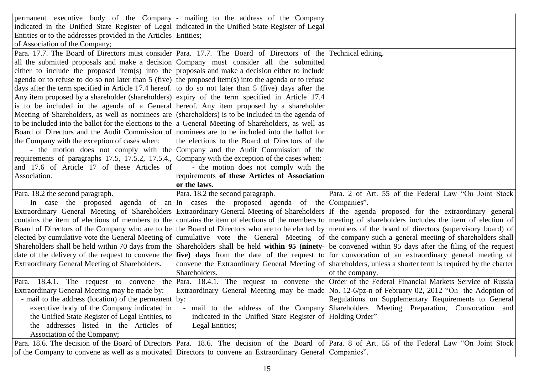| permanent executive body of the Company  - mailing to the address of the Company                                   |                                                                                   |                                                                                                                                                                                                            |
|--------------------------------------------------------------------------------------------------------------------|-----------------------------------------------------------------------------------|------------------------------------------------------------------------------------------------------------------------------------------------------------------------------------------------------------|
| indicated in the Unified State Register of Legal indicated in the Unified State Register of Legal                  |                                                                                   |                                                                                                                                                                                                            |
| Entities or to the addresses provided in the Articles Entities;                                                    |                                                                                   |                                                                                                                                                                                                            |
| of Association of the Company;                                                                                     |                                                                                   |                                                                                                                                                                                                            |
| Para. 17.7. The Board of Directors must consider Para. 17.7. The Board of Directors of the Technical editing.      |                                                                                   |                                                                                                                                                                                                            |
| all the submitted proposals and make a decision Company must consider all the submitted                            |                                                                                   |                                                                                                                                                                                                            |
| either to include the proposed item(s) into the proposals and make a decision either to include                    |                                                                                   |                                                                                                                                                                                                            |
| agenda or to refuse to do so not later than 5 (five) the proposed item(s) into the agenda or to refuse             |                                                                                   |                                                                                                                                                                                                            |
| days after the term specified in Article 17.4 hereof. to do so not later than 5 (five) days after the              |                                                                                   |                                                                                                                                                                                                            |
| Any item proposed by a shareholder (shareholders) expiry of the term specified in Article 17.4                     |                                                                                   |                                                                                                                                                                                                            |
| is to be included in the agenda of a General hereof. Any item proposed by a shareholder                            |                                                                                   |                                                                                                                                                                                                            |
| Meeting of Shareholders, as well as nominees are (shareholders) is to be included in the agenda of                 |                                                                                   |                                                                                                                                                                                                            |
| to be included into the ballot for the elections to the $ a \text{ General Meeting of Sharedholders, as well as }$ |                                                                                   |                                                                                                                                                                                                            |
| Board of Directors and the Audit Commission of nominees are to be included into the ballot for                     |                                                                                   |                                                                                                                                                                                                            |
| the Company with the exception of cases when:                                                                      | the elections to the Board of Directors of the                                    |                                                                                                                                                                                                            |
|                                                                                                                    | - the motion does not comply with the Company and the Audit Commission of the     |                                                                                                                                                                                                            |
| requirements of paragraphs 17.5, 17.5.2, 17.5.4., Company with the exception of the cases when:                    |                                                                                   |                                                                                                                                                                                                            |
| and 17.6 of Article 17 of these Articles of                                                                        | - the motion does not comply with the                                             |                                                                                                                                                                                                            |
| Association.                                                                                                       | requirements of these Articles of Association                                     |                                                                                                                                                                                                            |
|                                                                                                                    | or the laws.                                                                      |                                                                                                                                                                                                            |
|                                                                                                                    |                                                                                   |                                                                                                                                                                                                            |
| Para. 18.2 the second paragraph.                                                                                   | Para. 18.2 the second paragraph.                                                  | Para. 2 of Art. 55 of the Federal Law "On Joint Stock                                                                                                                                                      |
|                                                                                                                    | In case the proposed agenda of an In cases the proposed agenda of the Companies". |                                                                                                                                                                                                            |
|                                                                                                                    |                                                                                   | Extraordinary General Meeting of Shareholders Extraordinary General Meeting of Shareholders If the agenda proposed for the extraordinary general                                                           |
|                                                                                                                    |                                                                                   | contains the item of elections of members to the contains the item of elections of the members to meeting of shareholders includes the item of election of                                                 |
|                                                                                                                    |                                                                                   | Board of Directors of the Company who are to be the Board of Directors who are to be elected by members of the board of directors (supervisory board) of                                                   |
|                                                                                                                    |                                                                                   | elected by cumulative vote the General Meeting of cumulative vote the General Meeting of the company such a general meeting of shareholders shall                                                          |
|                                                                                                                    |                                                                                   | Shareholders shall be held within 70 days from the Shareholders shall be held within 95 (ninety- be convened within 95 days after the filing of the request                                                |
|                                                                                                                    |                                                                                   | date of the delivery of the request to convene the <i>five</i> ) days from the date of the request to for convocation of an extraordinary general meeting of                                               |
| Extraordinary General Meeting of Shareholders.                                                                     |                                                                                   | convene the Extraordinary General Meeting of shareholders, unless a shorter term is required by the charter                                                                                                |
|                                                                                                                    | Shareholders.                                                                     | of the company.                                                                                                                                                                                            |
|                                                                                                                    |                                                                                   | Para. 18.4.1. The request to convene the Para. 18.4.1. The request to convene the Order of the Federal Financial Markets Service of Russia                                                                 |
| Extraordinary General Meeting may be made by:                                                                      |                                                                                   | Extraordinary General Meeting may be made No. 12-6/pz-n of February 02, 2012 "On the Adoption of                                                                                                           |
| - mail to the address (location) of the permanent   by:                                                            |                                                                                   |                                                                                                                                                                                                            |
| executive body of the Company indicated in                                                                         | mail to the address of the Company                                                | Shareholders Meeting Preparation, Convocation and                                                                                                                                                          |
| the Unified State Register of Legal Entities, to                                                                   | indicated in the Unified State Register of Holding Order"                         |                                                                                                                                                                                                            |
| the addresses listed in the Articles of                                                                            | Legal Entities;                                                                   |                                                                                                                                                                                                            |
| Association of the Company;                                                                                        |                                                                                   |                                                                                                                                                                                                            |
|                                                                                                                    |                                                                                   | Regulations on Supplementary Requirements to General<br>Para. 18.6. The decision of the Board of Directors Para. 18.6. The decision of the Board of Para. 8 of Art. 55 of the Federal Law "On Joint Stock" |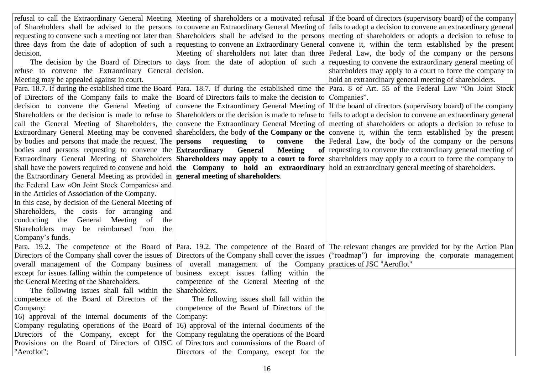|                                                                                                             |                                             | refusal to call the Extraordinary General Meeting   Meeting of shareholders or a motivated refusal   If the board of directors (supervisory board) of the company |
|-------------------------------------------------------------------------------------------------------------|---------------------------------------------|-------------------------------------------------------------------------------------------------------------------------------------------------------------------|
|                                                                                                             |                                             | of Shareholders shall be advised to the persons to convene an Extraordinary General Meeting of fails to adopt a decision to convene an extraordinary general      |
|                                                                                                             |                                             | requesting to convene such a meeting not later than Shareholders shall be advised to the persons meeting of shareholders or adopts a decision to refuse to        |
|                                                                                                             |                                             | three days from the date of adoption of such a requesting to convene an Extraordinary General convene it, within the term established by the present              |
| decision.                                                                                                   |                                             | Meeting of shareholders not later than three Federal Law, the body of the company or the persons                                                                  |
|                                                                                                             |                                             | The decision by the Board of Directors to days from the date of adoption of such a requesting to convene the extraordinary general meeting of                     |
| refuse to convene the Extraordinary General decision.                                                       |                                             | shareholders may apply to a court to force the company to                                                                                                         |
| Meeting may be appealed against in court.                                                                   |                                             | hold an extraordinary general meeting of shareholders.                                                                                                            |
|                                                                                                             |                                             | Para. 18.7. If during the established time the Board   Para. 18.7. If during the established time the   Para. 8 of Art. 55 of the Federal Law "On Joint Stock     |
| of Directors of the Company fails to make the Board of Directors fails to make the decision to Companies".  |                                             |                                                                                                                                                                   |
|                                                                                                             |                                             | decision to convene the General Meeting of convene the Extraordinary General Meeting of If the board of directors (supervisory board) of the company              |
|                                                                                                             |                                             | Shareholders or the decision is made to refuse to Shareholders or the decision is made to refuse to fails to adopt a decision to convene an extraordinary general |
|                                                                                                             |                                             | call the General Meeting of Shareholders, the convene the Extraordinary General Meeting of meeting of shareholders or adopts a decision to refuse to              |
|                                                                                                             |                                             | Extraordinary General Meeting may be convened shareholders, the body of the Company or the convene it, within the term established by the present                 |
|                                                                                                             |                                             | by bodies and persons that made the request. The <b>persons</b> requesting to convene the Federal Law, the body of the company or the persons                     |
|                                                                                                             |                                             | bodies and persons requesting to convene the Extraordinary General Meeting of requesting to convene the extraordinary general meeting of                          |
|                                                                                                             |                                             | Extraordinary General Meeting of Shareholders Shareholders may apply to a court to force shareholders may apply to a court to force the company to                |
|                                                                                                             |                                             | shall have the powers required to convene and hold the Company to hold an extraordinary hold an extraordinary general meeting of shareholders.                    |
| the Extraordinary General Meeting as provided in <b>general meeting of shareholders</b> .                   |                                             |                                                                                                                                                                   |
| the Federal Law «On Joint Stock Companies» and                                                              |                                             |                                                                                                                                                                   |
| in the Articles of Association of the Company.                                                              |                                             |                                                                                                                                                                   |
| In this case, by decision of the General Meeting of                                                         |                                             |                                                                                                                                                                   |
| Shareholders, the costs for arranging<br>and                                                                |                                             |                                                                                                                                                                   |
| conducting the General Meeting of<br>the                                                                    |                                             |                                                                                                                                                                   |
| Shareholders may be reimbursed from the                                                                     |                                             |                                                                                                                                                                   |
| Company's funds.                                                                                            |                                             |                                                                                                                                                                   |
|                                                                                                             |                                             | Para. 19.2. The competence of the Board of Para. 19.2. The competence of the Board of The relevant changes are provided for by the Action Plan                    |
|                                                                                                             |                                             | Directors of the Company shall cover the issues of Directors of the Company shall cover the issues ("roadmap") for improving the corporate management             |
| overall management of the Company business of overall management of the Company practices of JSC "Aeroflot" |                                             |                                                                                                                                                                   |
| except for issues falling within the competence of business except issues falling within the                |                                             |                                                                                                                                                                   |
| the General Meeting of the Shareholders.                                                                    | competence of the General Meeting of the    |                                                                                                                                                                   |
| The following issues shall fall within the Shareholders.                                                    |                                             |                                                                                                                                                                   |
| competence of the Board of Directors of the                                                                 | The following issues shall fall within the  |                                                                                                                                                                   |
| Company:                                                                                                    | competence of the Board of Directors of the |                                                                                                                                                                   |
| 16) approval of the internal documents of the Company:                                                      |                                             |                                                                                                                                                                   |
| Company regulating operations of the Board of $ 16\rangle$ approval of the internal documents of the        |                                             |                                                                                                                                                                   |
| Directors of the Company, except for the Company regulating the operations of the Board                     |                                             |                                                                                                                                                                   |
| Provisions on the Board of Directors of OJSC of Directors and commissions of the Board of                   |                                             |                                                                                                                                                                   |
| "Aeroflot";                                                                                                 | Directors of the Company, except for the    |                                                                                                                                                                   |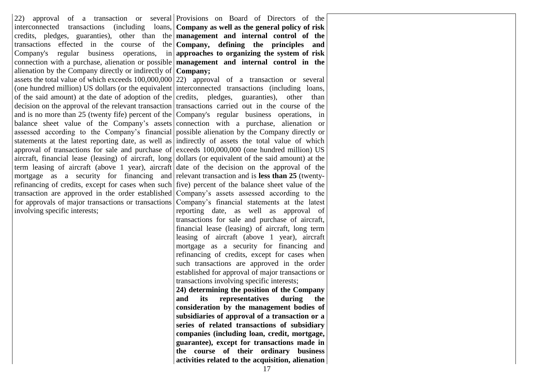22) approval of a transaction or several Provisions on Board of Directors of the interconnected transactions (including loans, **Company as well as the general policy of risk**  credits, pledges, guaranties), other than the **management and internal control of the**  transactions effected in the course of the **Company, defining the principles and**  Company's regular business operations, in **approaches to organizing the system of risk**  connection with a purchase, alienation or possible **management and internal control in the**  alienation by the Company directly or indirectly of **Company;** assets the total value of which exceeds 100,000,000 22) approval of a transaction or several (one hundred million) US dollars (or the equivalent interconnected transactions (including loans, of the said amount) at the date of adoption of the credits, pledges, guaranties), other than decision on the approval of the relevant transaction transactions carried out in the course of the and is no more than 25 (twenty fife) percent of the Company's regular business operations, in balance sheet value of the Company's assets connection with a purchase, alienation or assessed according to the Company's financial possible alienation by the Company directly or statements at the latest reporting date, as well as indirectly of assets the total value of which approval of transactions for sale and purchase of exceeds  $100,000,000$  (one hundred million) US aircraft, financial lease (leasing) of aircraft, long dollars (or equivalent of the said amount) at the term leasing of aircraft (above 1 year), aircraft date of the decision on the approval of the mortgage as a security for financing and relevant transaction and is less than 25 (twentyrefinancing of credits, except for cases when such five) percent of the balance sheet value of the transaction are approved in the order established Company's assets assessed according to the for approvals of major transactions or transactions Company's financial statements at the latest involving specific interests;

reporting date, as well as approval of transactions for sale and purchase of aircraft, financial lease (leasing) of aircraft, long term leasing of aircraft (above 1 year), aircraft mortgage as a security for financing and refinancing of credits, except for cases when such transactions are approved in the order established for approval of major transactions or transactions involving specific interests;

**24) determining the position of the Company and its representatives during the consideration by the management bodies of subsidiaries of approval of a transaction or a series of related transactions of subsidiary companies (including loan, credit, mortgage, guarantee), except for transactions made in the course of their ordinary business activities related to the acquisition, alienation**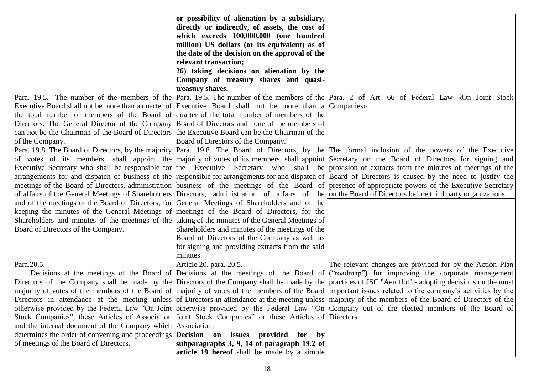|                                                                                                          | or possibility of alienation by a subsidiary,<br>directly or indirectly, of assets, the cost of<br>which exceeds 100,000,000 (one hundred<br>million) US dollars (or its equivalent) as of<br>the date of the decision on the approval of the |                                                                                                                                                                                                                                                                                                                    |
|----------------------------------------------------------------------------------------------------------|-----------------------------------------------------------------------------------------------------------------------------------------------------------------------------------------------------------------------------------------------|--------------------------------------------------------------------------------------------------------------------------------------------------------------------------------------------------------------------------------------------------------------------------------------------------------------------|
|                                                                                                          | relevant transaction;                                                                                                                                                                                                                         |                                                                                                                                                                                                                                                                                                                    |
|                                                                                                          | 26) taking decisions on alienation by the                                                                                                                                                                                                     |                                                                                                                                                                                                                                                                                                                    |
|                                                                                                          | Company of treasury shares and quasi-<br>treasury shares.                                                                                                                                                                                     |                                                                                                                                                                                                                                                                                                                    |
|                                                                                                          |                                                                                                                                                                                                                                               | Para. 19.5. The number of the members of the Para. 19.5. The number of the members of the Para. 2 of Art. 66 of Federal Law «On Joint Stock                                                                                                                                                                        |
| Executive Board shall not be more than a quarter of Executive Board shall not be more than a Companies». |                                                                                                                                                                                                                                               |                                                                                                                                                                                                                                                                                                                    |
| the total number of members of the Board of quarter of the total number of members of the                |                                                                                                                                                                                                                                               |                                                                                                                                                                                                                                                                                                                    |
| Directors. The General Director of the Company Board of Directors and none of the members of             |                                                                                                                                                                                                                                               |                                                                                                                                                                                                                                                                                                                    |
| can not be the Chairman of the Board of Directors the Executive Board can be the Chairman of the         |                                                                                                                                                                                                                                               |                                                                                                                                                                                                                                                                                                                    |
| of the Company.                                                                                          | Board of Directors of the Company.                                                                                                                                                                                                            |                                                                                                                                                                                                                                                                                                                    |
|                                                                                                          |                                                                                                                                                                                                                                               | Para. 19.8. The Board of Directors, by the majority Para. 19.8. The Board of Directors, by the The formal inclusion of the powers of the Executive                                                                                                                                                                 |
|                                                                                                          |                                                                                                                                                                                                                                               | of votes of its members, shall appoint the majority of votes of its members, shall appoint Secretary on the Board of Directors for signing and                                                                                                                                                                     |
|                                                                                                          |                                                                                                                                                                                                                                               | Executive Secretary who shall be responsible for the Executive Secretary who shall be provision of extracts from the minutes of meetings of the                                                                                                                                                                    |
|                                                                                                          |                                                                                                                                                                                                                                               | arrangements for and dispatch of business of the responsible for arrangements for and dispatch of Board of Directors is caused by the need to justify the<br>meetings of the Board of Directors, administration business of the meetings of the Board of presence of appropriate powers of the Executive Secretary |
|                                                                                                          |                                                                                                                                                                                                                                               | of affairs of the General Meetings of Shareholders Directors, administration of affairs of the on the Board of Directors before third party organizations.                                                                                                                                                         |
| and of the meetings of the Board of Directors, for General Meetings of Shareholders and of the           |                                                                                                                                                                                                                                               |                                                                                                                                                                                                                                                                                                                    |
| keeping the minutes of the General Meetings of meetings of the Board of Directors, for the               |                                                                                                                                                                                                                                               |                                                                                                                                                                                                                                                                                                                    |
| Shareholders and minutes of the meetings of the   taking of the minutes of the General Meetings of       |                                                                                                                                                                                                                                               |                                                                                                                                                                                                                                                                                                                    |
| Board of Directors of the Company.                                                                       | Shareholders and minutes of the meetings of the                                                                                                                                                                                               |                                                                                                                                                                                                                                                                                                                    |
|                                                                                                          | Board of Directors of the Company as well as                                                                                                                                                                                                  |                                                                                                                                                                                                                                                                                                                    |
|                                                                                                          | for signing and providing extracts from the said                                                                                                                                                                                              |                                                                                                                                                                                                                                                                                                                    |
|                                                                                                          | minutes.                                                                                                                                                                                                                                      |                                                                                                                                                                                                                                                                                                                    |
| Para.20.5.                                                                                               | Article 20, para. 20.5.                                                                                                                                                                                                                       | The relevant changes are provided for by the Action Plan                                                                                                                                                                                                                                                           |
|                                                                                                          |                                                                                                                                                                                                                                               | Decisions at the meetings of the Board of Decisions at the meetings of the Board of ("roadmap") for improving the corporate management                                                                                                                                                                             |
|                                                                                                          |                                                                                                                                                                                                                                               | Directors of the Company shall be made by the Directors of the Company shall be made by the practices of JSC "Aeroflot" - adopting decisions on the most                                                                                                                                                           |
|                                                                                                          |                                                                                                                                                                                                                                               | majority of votes of the members of the Board of majority of votes of the members of the Board important issues related to the company's activities by the                                                                                                                                                         |
|                                                                                                          |                                                                                                                                                                                                                                               | Directors in attendance at the meeting unless of Directors in attendance at the meeting unless majority of the members of the Board of Directors of the<br>otherwise provided by the Federal Law "On Joint otherwise provided by the Federal Law "On Company out of the elected members of the Board of            |
| Stock Companies", these Articles of Association Joint Stock Companies" or these Articles of Directors.   |                                                                                                                                                                                                                                               |                                                                                                                                                                                                                                                                                                                    |
| and the internal document of the Company which Association.                                              |                                                                                                                                                                                                                                               |                                                                                                                                                                                                                                                                                                                    |
| determines the order of convening and proceedings                                                        | Decision on issues provided for<br>$-$ by                                                                                                                                                                                                     |                                                                                                                                                                                                                                                                                                                    |
| of meetings of the Board of Directors.                                                                   | subparagraphs 3, 9, 14 of paragraph 19.2 of                                                                                                                                                                                                   |                                                                                                                                                                                                                                                                                                                    |
|                                                                                                          | article 19 hereof shall be made by a simple                                                                                                                                                                                                   |                                                                                                                                                                                                                                                                                                                    |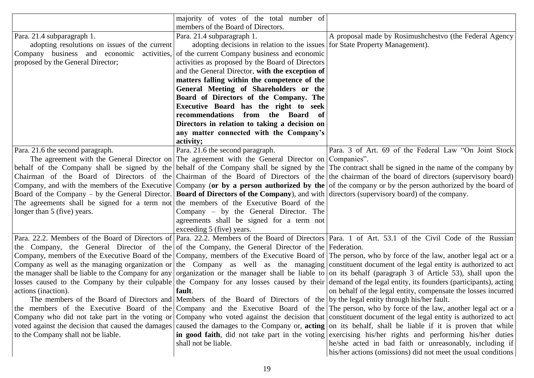|                                                                                                                                                    | majority of votes of the total number of                                                                                      |                                                                                                                                                             |
|----------------------------------------------------------------------------------------------------------------------------------------------------|-------------------------------------------------------------------------------------------------------------------------------|-------------------------------------------------------------------------------------------------------------------------------------------------------------|
|                                                                                                                                                    | members of the Board of Directors.                                                                                            |                                                                                                                                                             |
| Para. 21.4 subparagraph 1.                                                                                                                         | Para. 21.4 subparagraph 1.                                                                                                    | A proposal made by Rosimushchestvo (the Federal Agency                                                                                                      |
| adopting resolutions on issues of the current                                                                                                      | adopting decisions in relation to the issues for State Property Management).                                                  |                                                                                                                                                             |
| Company business and economic activities, of the current Company business and economic                                                             |                                                                                                                               |                                                                                                                                                             |
| proposed by the General Director;                                                                                                                  | activities as proposed by the Board of Directors                                                                              |                                                                                                                                                             |
|                                                                                                                                                    | and the General Director, with the exception of                                                                               |                                                                                                                                                             |
|                                                                                                                                                    | matters falling within the competence of the                                                                                  |                                                                                                                                                             |
|                                                                                                                                                    | General Meeting of Shareholders or the                                                                                        |                                                                                                                                                             |
|                                                                                                                                                    | Board of Directors of the Company. The                                                                                        |                                                                                                                                                             |
|                                                                                                                                                    | Executive Board has the right to seek                                                                                         |                                                                                                                                                             |
|                                                                                                                                                    | recommendations from the Board of                                                                                             |                                                                                                                                                             |
|                                                                                                                                                    | Directors in relation to taking a decision on                                                                                 |                                                                                                                                                             |
|                                                                                                                                                    | any matter connected with the Company's                                                                                       |                                                                                                                                                             |
|                                                                                                                                                    | activity;                                                                                                                     |                                                                                                                                                             |
| Para. 21.6 the second paragraph.                                                                                                                   | Para. 21.6 the second paragraph.                                                                                              | Para. 3 of Art. 69 of the Federal Law "On Joint Stock                                                                                                       |
|                                                                                                                                                    | The agreement with the General Director on The agreement with the General Director on Companies".                             |                                                                                                                                                             |
|                                                                                                                                                    |                                                                                                                               | behalf of the Company shall be signed by the behalf of the Company shall be signed by the The contract shall be signed in the name of the company by        |
|                                                                                                                                                    |                                                                                                                               | Chairman of the Board of Directors of the Chairman of the Board of Directors of the the chairman of the board of directors (supervisory board)              |
|                                                                                                                                                    |                                                                                                                               | Company, and with the members of the Executive Company (or by a person authorized by the of the company or by the person authorized by the board of         |
| Board of the Company – by the General Director. <b>Board of Directors of the Company</b> ), and with directors (supervisory board) of the company. |                                                                                                                               |                                                                                                                                                             |
| The agreements shall be signed for a term not the members of the Executive Board of the                                                            |                                                                                                                               |                                                                                                                                                             |
| longer than 5 (five) years.                                                                                                                        | Company – by the General Director. The                                                                                        |                                                                                                                                                             |
|                                                                                                                                                    | agreements shall be signed for a term not                                                                                     |                                                                                                                                                             |
|                                                                                                                                                    | exceeding 5 (five) years.                                                                                                     |                                                                                                                                                             |
|                                                                                                                                                    |                                                                                                                               | Para. 22.2. Members of the Board of Directors of Para. 22.2. Members of the Board of Directors Para. 1 of Art. 53.1 of the Civil Code of the Russian        |
| the Company, the General Director of the of the Company, the General Director of the Federation.                                                   |                                                                                                                               |                                                                                                                                                             |
|                                                                                                                                                    |                                                                                                                               | Company, members of the Executive Board of the Company, members of the Executive Board of The person, who by force of the law, another legal act or a       |
|                                                                                                                                                    |                                                                                                                               | Company as well as the managing organization or the Company as well as the managing constituent document of the legal entity is authorized to act           |
|                                                                                                                                                    |                                                                                                                               | the manager shall be liable to the Company for any organization or the manager shall be liable to on its behalf (paragraph 3 of Article 53), shall upon the |
|                                                                                                                                                    |                                                                                                                               | losses caused to the Company by their culpable the Company for any losses caused by their demand of the legal entity, its founders (participants), acting   |
| actions (inaction).                                                                                                                                | fault.                                                                                                                        | on behalf of the legal entity, compensate the losses incurred                                                                                               |
|                                                                                                                                                    | The members of the Board of Directors and Members of the Board of Directors of the by the legal entity through his/her fault. |                                                                                                                                                             |
|                                                                                                                                                    |                                                                                                                               | the members of the Executive Board of the Company and the Executive Board of the The person, who by force of the law, another legal act or a                |
|                                                                                                                                                    |                                                                                                                               | Company who did not take part in the voting or Company who voted against the decision that constituent document of the legal entity is authorized to act    |
| voted against the decision that caused the damages                                                                                                 |                                                                                                                               | caused the damages to the Company or, acting on its behalf, shall be liable if it is proven that while                                                      |
| to the Company shall not be liable.                                                                                                                |                                                                                                                               | in good faith, did not take part in the voting exercising his/her rights and performing his/her duties                                                      |
|                                                                                                                                                    | shall not be liable.                                                                                                          | he/she acted in bad faith or unreasonably, including if                                                                                                     |
|                                                                                                                                                    |                                                                                                                               | his/her actions (omissions) did not meet the usual conditions                                                                                               |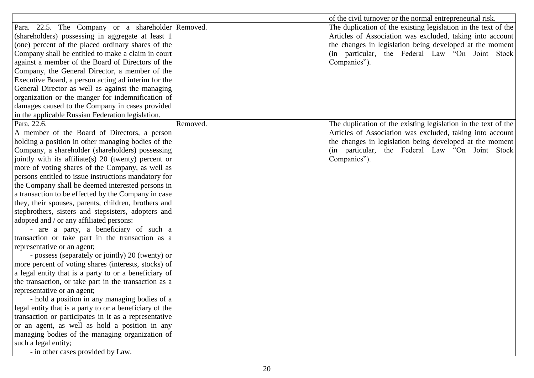|                                                         |          | of the civil turnover or the normal entrepreneurial risk.      |
|---------------------------------------------------------|----------|----------------------------------------------------------------|
| Para. 22.5. The Company or a shareholder Removed.       |          | The duplication of the existing legislation in the text of the |
| (shareholders) possessing in aggregate at least 1       |          | Articles of Association was excluded, taking into account      |
| (one) percent of the placed ordinary shares of the      |          | the changes in legislation being developed at the moment       |
| Company shall be entitled to make a claim in court      |          | (in particular, the Federal Law "On Joint Stock                |
| against a member of the Board of Directors of the       |          | Companies").                                                   |
| Company, the General Director, a member of the          |          |                                                                |
| Executive Board, a person acting ad interim for the     |          |                                                                |
| General Director as well as against the managing        |          |                                                                |
| organization or the manger for indemnification of       |          |                                                                |
| damages caused to the Company in cases provided         |          |                                                                |
| in the applicable Russian Federation legislation.       |          |                                                                |
| Para. 22.6.                                             | Removed. | The duplication of the existing legislation in the text of the |
| A member of the Board of Directors, a person            |          | Articles of Association was excluded, taking into account      |
| holding a position in other managing bodies of the      |          | the changes in legislation being developed at the moment       |
| Company, a shareholder (shareholders) possessing        |          | (in particular, the Federal Law "On Joint Stock                |
| jointly with its affiliate(s) 20 (twenty) percent or    |          | Companies").                                                   |
| more of voting shares of the Company, as well as        |          |                                                                |
| persons entitled to issue instructions mandatory for    |          |                                                                |
| the Company shall be deemed interested persons in       |          |                                                                |
| a transaction to be effected by the Company in case     |          |                                                                |
| they, their spouses, parents, children, brothers and    |          |                                                                |
| stepbrothers, sisters and stepsisters, adopters and     |          |                                                                |
| adopted and / or any affiliated persons:                |          |                                                                |
| - are a party, a beneficiary of such a                  |          |                                                                |
| transaction or take part in the transaction as a        |          |                                                                |
| representative or an agent;                             |          |                                                                |
| - possess (separately or jointly) 20 (twenty) or        |          |                                                                |
| more percent of voting shares (interests, stocks) of    |          |                                                                |
| a legal entity that is a party to or a beneficiary of   |          |                                                                |
| the transaction, or take part in the transaction as a   |          |                                                                |
| representative or an agent;                             |          |                                                                |
| - hold a position in any managing bodies of a           |          |                                                                |
| legal entity that is a party to or a beneficiary of the |          |                                                                |
| transaction or participates in it as a representative   |          |                                                                |
| or an agent, as well as hold a position in any          |          |                                                                |
| managing bodies of the managing organization of         |          |                                                                |
| such a legal entity;                                    |          |                                                                |
| - in other cases provided by Law.                       |          |                                                                |
|                                                         |          |                                                                |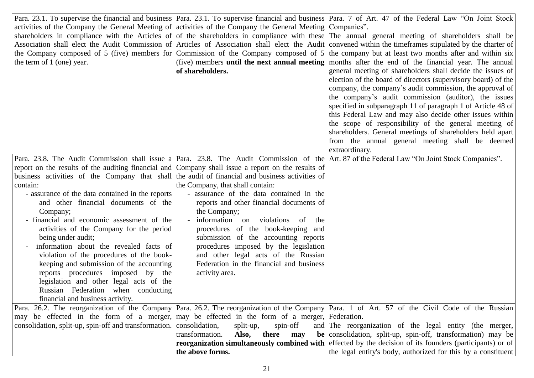|                                                                                                            |                                          | Para. 23.1. To supervise the financial and business Para. 23.1. To supervise financial and business Para. 7 of Art. 47 of the Federal Law "On Joint Stock |
|------------------------------------------------------------------------------------------------------------|------------------------------------------|-----------------------------------------------------------------------------------------------------------------------------------------------------------|
| activities of the Company the General Meeting of activities of the Company the General Meeting Companies". |                                          |                                                                                                                                                           |
|                                                                                                            |                                          | shareholders in compliance with the Articles of of the shareholders in compliance with these The annual general meeting of shareholders shall be          |
|                                                                                                            |                                          | Association shall elect the Audit Commission of Articles of Association shall elect the Audit convened within the timeframes stipulated by the charter of |
|                                                                                                            |                                          | the Company composed of 5 (five) members for Commission of the Company composed of $5$ the company but at least two months after and within six           |
| the term of 1 (one) year.                                                                                  |                                          | (five) members <b>until the next annual meeting</b> months after the end of the financial year. The annual                                                |
|                                                                                                            | of shareholders.                         | general meeting of shareholders shall decide the issues of                                                                                                |
|                                                                                                            |                                          | election of the board of directors (supervisory board) of the                                                                                             |
|                                                                                                            |                                          | company, the company's audit commission, the approval of                                                                                                  |
|                                                                                                            |                                          | the company's audit commission (auditor), the issues                                                                                                      |
|                                                                                                            |                                          | specified in subparagraph 11 of paragraph 1 of Article 48 of                                                                                              |
|                                                                                                            |                                          | this Federal Law and may also decide other issues within                                                                                                  |
|                                                                                                            |                                          | the scope of responsibility of the general meeting of                                                                                                     |
|                                                                                                            |                                          | shareholders. General meetings of shareholders held apart                                                                                                 |
|                                                                                                            |                                          | from the annual general meeting shall be deemed                                                                                                           |
|                                                                                                            |                                          | extraordinary.                                                                                                                                            |
|                                                                                                            |                                          | Para. 23.8. The Audit Commission shall issue a Para. 23.8. The Audit Commission of the Art. 87 of the Federal Law "On Joint Stock Companies".             |
| report on the results of the auditing financial and Company shall issue a report on the results of         |                                          |                                                                                                                                                           |
| business activities of the Company that shall the audit of financial and business activities of            |                                          |                                                                                                                                                           |
| contain:                                                                                                   | the Company, that shall contain:         |                                                                                                                                                           |
| - assurance of the data contained in the reports                                                           | - assurance of the data contained in the |                                                                                                                                                           |
| and other financial documents of the                                                                       | reports and other financial documents of |                                                                                                                                                           |
| Company;                                                                                                   | the Company;                             |                                                                                                                                                           |
| - financial and economic assessment of the                                                                 | information on violations<br>- of<br>the |                                                                                                                                                           |
| activities of the Company for the period                                                                   | procedures of the book-keeping and       |                                                                                                                                                           |
| being under audit;                                                                                         | submission of the accounting reports     |                                                                                                                                                           |
| information about the revealed facts of                                                                    | procedures imposed by the legislation    |                                                                                                                                                           |
| violation of the procedures of the book-                                                                   | and other legal acts of the Russian      |                                                                                                                                                           |
| keeping and submission of the accounting                                                                   | Federation in the financial and business |                                                                                                                                                           |
| reports procedures imposed by<br>the                                                                       | activity area.                           |                                                                                                                                                           |
| legislation and other legal acts of the                                                                    |                                          |                                                                                                                                                           |
| Russian Federation when conducting                                                                         |                                          |                                                                                                                                                           |
| financial and business activity.                                                                           |                                          |                                                                                                                                                           |
|                                                                                                            |                                          | Para. 26.2. The reorganization of the Company Para. 26.2. The reorganization of the Company Para. 1 of Art. 57 of the Civil Code of the Russian           |
| may be effected in the form of a merger, may be effected in the form of a merger, Federation.              |                                          |                                                                                                                                                           |
| consolidation, split-up, spin-off and transformation.                                                      | consolidation,<br>split-up,<br>spin-off  | and The reorganization of the legal entity (the merger,                                                                                                   |
|                                                                                                            | transformation.<br>Also, there<br>may    | be consolidation, split-up, spin-off, transformation) may be                                                                                              |
|                                                                                                            |                                          | <b>reorganization simultaneously combined with</b> effected by the decision of its founders (participants) or of                                          |
|                                                                                                            | the above forms.                         | the legal entity's body, authorized for this by a constituent                                                                                             |